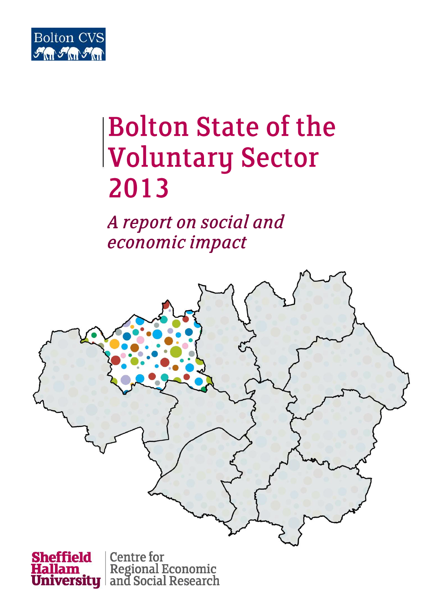

# **Bolton State of the Voluntary Sector** 2013

A report on social and economic impact





Regional Economic<br>and Social Research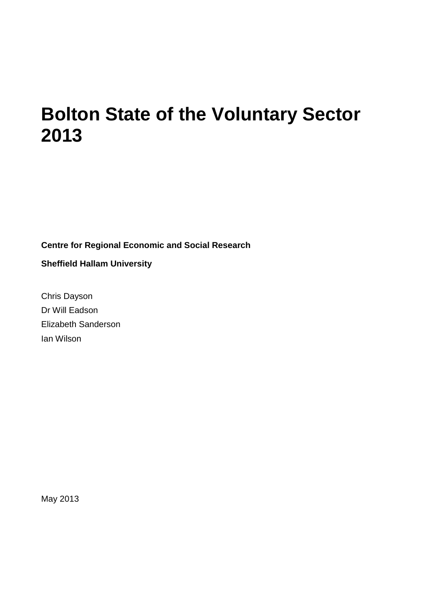### **Bolton State of the Voluntary Sector 2013**

**Centre for Regional Economic and Social Research**

**Sheffield Hallam University**

Chris Dayson Dr Will Eadson Elizabeth Sanderson Ian Wilson

May 2013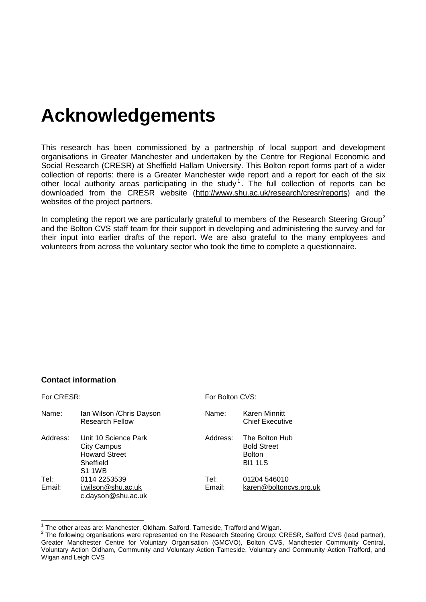# **Acknowledgements**

This research has been commissioned by a partnership of local support and development organisations in Greater Manchester and undertaken by the Centre for Regional Economic and Social Research (CRESR) at Sheffield Hallam University. This Bolton report forms part of a wider collection of reports: there is a Greater Manchester wide report and a report for each of the six other local authority areas participating in the study<sup>1</sup>. The full collection of reports can be downloaded from the CRESR website [\(http://www.shu.ac.uk/research/cresr/reports\)](http://www.shu.ac.uk/research/cresr/reports) and the websites of the project partners.

In completing the report we are particularly grateful to members of the Research Steering Group<sup>2</sup> and the Bolton CVS staff team for their support in developing and administering the survey and for their input into earlier drafts of the report. We are also grateful to the many employees and volunteers from across the voluntary sector who took the time to complete a questionnaire.

#### **C***o***ntact information**

| For CRESR:     |                                                                                                  |                | For Bolton CVS:                                                         |  |  |
|----------------|--------------------------------------------------------------------------------------------------|----------------|-------------------------------------------------------------------------|--|--|
| Name:          | Ian Wilson / Chris Dayson<br><b>Research Fellow</b>                                              | Name:          | <b>Karen Minnitt</b><br><b>Chief Executive</b>                          |  |  |
| Address:       | Unit 10 Science Park<br><b>City Campus</b><br><b>Howard Street</b><br>Sheffield<br><b>S1 1WB</b> | Address:       | The Bolton Hub<br><b>Bold Street</b><br><b>Bolton</b><br><b>BI1 1LS</b> |  |  |
| Tel:<br>Email: | 0114 2253539<br>i.wilson@shu.ac.uk<br>c.dayson@shu.ac.uk                                         | Tel:<br>Email: | 01204 546010<br>karen@boltoncvs.org.uk                                  |  |  |

<sup>1</sup> The other areas are: Manchester, Oldham, Salford, Tameside, Trafford and Wigan.

 $2$  The following organisations were represented on the Research Steering Group: CRESR, Salford CVS (lead partner), Greater Manchester Centre for Voluntary Organisation (GMCVO), Bolton CVS, Manchester Community Central, Voluntary Action Oldham, Community and Voluntary Action Tameside, Voluntary and Community Action Trafford, and Wigan and Leigh CVS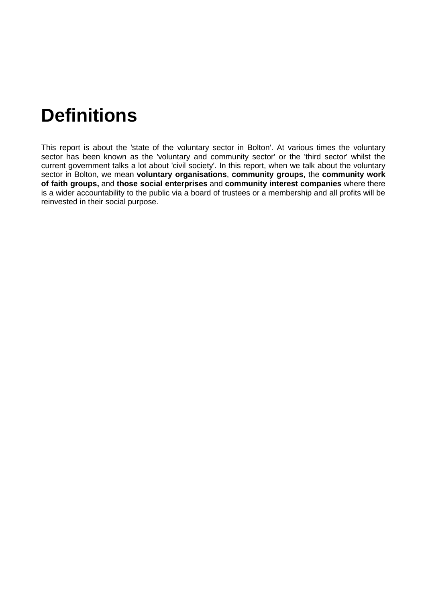# **Definitions**

This report is about the 'state of the voluntary sector in Bolton'. At various times the voluntary sector has been known as the 'voluntary and community sector' or the 'third sector' whilst the current government talks a lot about 'civil society'. In this report, when we talk about the voluntary sector in Bolton, we mean **voluntary organisations**, **community groups**, the **community work of faith groups,** and **those social enterprises** and **community interest companies** where there is a wider accountability to the public via a board of trustees or a membership and all profits will be reinvested in their social purpose.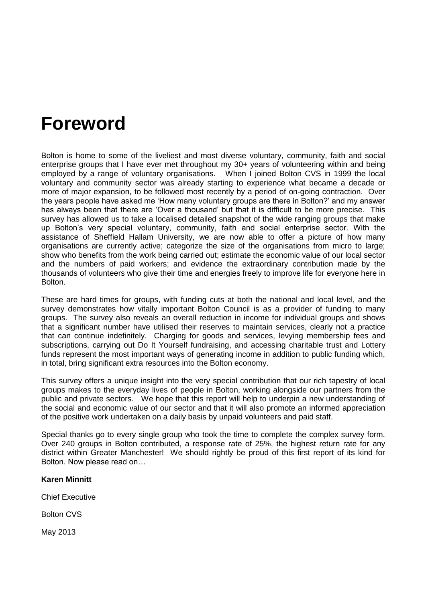### **Foreword**

Bolton is home to some of the liveliest and most diverse voluntary, community, faith and social enterprise groups that I have ever met throughout my 30+ years of volunteering within and being employed by a range of voluntary organisations. When I joined Bolton CVS in 1999 the local voluntary and community sector was already starting to experience what became a decade or more of major expansion, to be followed most recently by a period of on-going contraction. Over the years people have asked me 'How many voluntary groups are there in Bolton?' and my answer has always been that there are 'Over a thousand' but that it is difficult to be more precise. This survey has allowed us to take a localised detailed snapshot of the wide ranging groups that make up Bolton's very special voluntary, community, faith and social enterprise sector. With the assistance of Sheffield Hallam University, we are now able to offer a picture of how many organisations are currently active; categorize the size of the organisations from micro to large: show who benefits from the work being carried out; estimate the economic value of our local sector and the numbers of paid workers; and evidence the extraordinary contribution made by the thousands of volunteers who give their time and energies freely to improve life for everyone here in Bolton.

These are hard times for groups, with funding cuts at both the national and local level, and the survey demonstrates how vitally important Bolton Council is as a provider of funding to many groups. The survey also reveals an overall reduction in income for individual groups and shows that a significant number have utilised their reserves to maintain services, clearly not a practice that can continue indefinitely. Charging for goods and services, levying membership fees and subscriptions, carrying out Do It Yourself fundraising, and accessing charitable trust and Lottery funds represent the most important ways of generating income in addition to public funding which, in total, bring significant extra resources into the Bolton economy.

This survey offers a unique insight into the very special contribution that our rich tapestry of local groups makes to the everyday lives of people in Bolton, working alongside our partners from the public and private sectors. We hope that this report will help to underpin a new understanding of the social and economic value of our sector and that it will also promote an informed appreciation of the positive work undertaken on a daily basis by unpaid volunteers and paid staff.

Special thanks go to every single group who took the time to complete the complex survey form. Over 240 groups in Bolton contributed, a response rate of 25%, the highest return rate for any district within Greater Manchester! We should rightly be proud of this first report of its kind for Bolton. Now please read on…

#### **Karen Minnitt**

Chief Executive

Bolton CVS

May 2013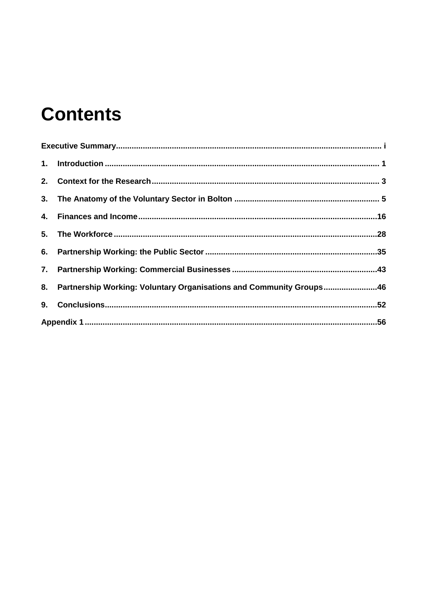# **Contents**

| 8. Partnership Working: Voluntary Organisations and Community Groups46 |  |
|------------------------------------------------------------------------|--|
|                                                                        |  |
|                                                                        |  |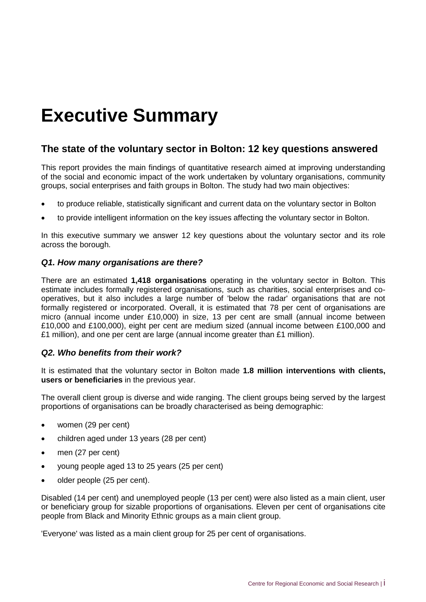# <span id="page-6-0"></span>**Executive Summary**

#### **The state of the voluntary sector in Bolton: 12 key questions answered**

This report provides the main findings of quantitative research aimed at improving understanding of the social and economic impact of the work undertaken by voluntary organisations, community groups, social enterprises and faith groups in Bolton. The study had two main objectives:

- to produce reliable, statistically significant and current data on the voluntary sector in Bolton
- to provide intelligent information on the key issues affecting the voluntary sector in Bolton.

In this executive summary we answer 12 key questions about the voluntary sector and its role across the borough.

#### *Q1. How many organisations are there?*

There are an estimated **1,418 organisations** operating in the voluntary sector in Bolton. This estimate includes formally registered organisations, such as charities, social enterprises and cooperatives, but it also includes a large number of 'below the radar' organisations that are not formally registered or incorporated. Overall, it is estimated that 78 per cent of organisations are micro (annual income under £10,000) in size, 13 per cent are small (annual income between £10,000 and £100,000), eight per cent are medium sized (annual income between £100,000 and £1 million), and one per cent are large (annual income greater than  $£1$  million).

#### *Q2. Who benefits from their work?*

It is estimated that the voluntary sector in Bolton made **1.8 million interventions with clients, users or beneficiaries** in the previous year.

The overall client group is diverse and wide ranging. The client groups being served by the largest proportions of organisations can be broadly characterised as being demographic:

- women (29 per cent)
- children aged under 13 years (28 per cent)
- men (27 per cent)
- young people aged 13 to 25 years (25 per cent)
- older people (25 per cent).

Disabled (14 per cent) and unemployed people (13 per cent) were also listed as a main client, user or beneficiary group for sizable proportions of organisations. Eleven per cent of organisations cite people from Black and Minority Ethnic groups as a main client group.

'Everyone' was listed as a main client group for 25 per cent of organisations.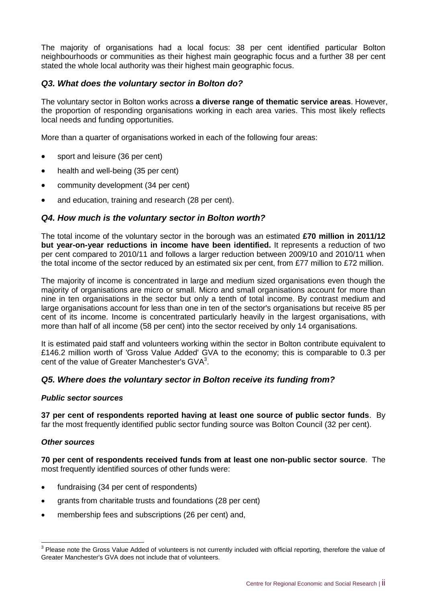The majority of organisations had a local focus: 38 per cent identified particular Bolton neighbourhoods or communities as their highest main geographic focus and a further 38 per cent stated the whole local authority was their highest main geographic focus.

#### *Q3. What does the voluntary sector in Bolton do?*

The voluntary sector in Bolton works across **a diverse range of thematic service areas**. However, the proportion of responding organisations working in each area varies. This most likely reflects local needs and funding opportunities.

More than a quarter of organisations worked in each of the following four areas:

- sport and leisure (36 per cent)
- health and well-being (35 per cent)
- community development (34 per cent)
- and education, training and research (28 per cent).

#### *Q4. How much is the voluntary sector in Bolton worth?*

The total income of the voluntary sector in the borough was an estimated **£70 million in 2011/12 but year-on-year reductions in income have been identified.** It represents a reduction of two per cent compared to 2010/11 and follows a larger reduction between 2009/10 and 2010/11 when the total income of the sector reduced by an estimated six per cent, from £77 million to £72 million.

The majority of income is concentrated in large and medium sized organisations even though the majority of organisations are micro or small. Micro and small organisations account for more than nine in ten organisations in the sector but only a tenth of total income. By contrast medium and large organisations account for less than one in ten of the sector's organisations but receive 85 per cent of its income. Income is concentrated particularly heavily in the largest organisations, with more than half of all income (58 per cent) into the sector received by only 14 organisations.

It is estimated paid staff and volunteers working within the sector in Bolton contribute equivalent to £146.2 million worth of 'Gross Value Added' GVA to the economy; this is comparable to 0.3 per cent of the value of Greater Manchester's  $\text{GVA}^3$ .

#### *Q5. Where does the voluntary sector in Bolton receive its funding from?*

#### *Public sector sources*

**37 per cent of respondents reported having at least one source of public sector funds**. By far the most frequently identified public sector funding source was Bolton Council (32 per cent).

#### *Other sources*

**70 per cent of respondents received funds from at least one non-public sector source**. The most frequently identified sources of other funds were:

- fundraising (34 per cent of respondents)
- grants from charitable trusts and foundations (28 per cent)
- membership fees and subscriptions (26 per cent) and,

 3 Please note the Gross Value Added of volunteers is not currently included with official reporting, therefore the value of Greater Manchester's GVA does not include that of volunteers.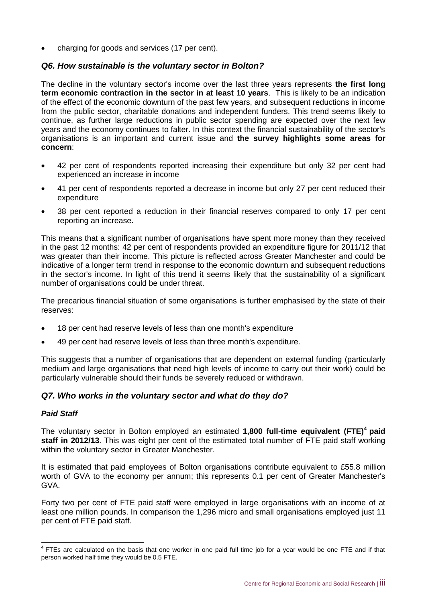charging for goods and services (17 per cent).

#### *Q6. How sustainable is the voluntary sector in Bolton?*

The decline in the voluntary sector's income over the last three years represents **the first long term economic contraction in the sector in at least 10 years**. This is likely to be an indication of the effect of the economic downturn of the past few years, and subsequent reductions in income from the public sector, charitable donations and independent funders. This trend seems likely to continue, as further large reductions in public sector spending are expected over the next few years and the economy continues to falter. In this context the financial sustainability of the sector's organisations is an important and current issue and **the survey highlights some areas for concern**:

- 42 per cent of respondents reported increasing their expenditure but only 32 per cent had experienced an increase in income
- 41 per cent of respondents reported a decrease in income but only 27 per cent reduced their expenditure
- 38 per cent reported a reduction in their financial reserves compared to only 17 per cent reporting an increase.

This means that a significant number of organisations have spent more money than they received in the past 12 months: 42 per cent of respondents provided an expenditure figure for 2011/12 that was greater than their income. This picture is reflected across Greater Manchester and could be indicative of a longer term trend in response to the economic downturn and subsequent reductions in the sector's income. In light of this trend it seems likely that the sustainability of a significant number of organisations could be under threat.

The precarious financial situation of some organisations is further emphasised by the state of their reserves:

- 18 per cent had reserve levels of less than one month's expenditure
- 49 per cent had reserve levels of less than three month's expenditure.

This suggests that a number of organisations that are dependent on external funding (particularly medium and large organisations that need high levels of income to carry out their work) could be particularly vulnerable should their funds be severely reduced or withdrawn.

#### *Q7. Who works in the voluntary sector and what do they do?*

#### *Paid Staff*

The voluntary sector in Bolton employed an estimated **1,800 full-time equivalent (FTE)<sup>4</sup> paid staff in 2012/13**. This was eight per cent of the estimated total number of FTE paid staff working within the voluntary sector in Greater Manchester.

It is estimated that paid employees of Bolton organisations contribute equivalent to £55.8 million worth of GVA to the economy per annum; this represents 0.1 per cent of Greater Manchester's GVA.

Forty two per cent of FTE paid staff were employed in large organisations with an income of at least one million pounds. In comparison the 1,296 micro and small organisations employed just 11 per cent of FTE paid staff.

THES are calculated on the basis that one worker in one paid full time job for a year would be one FTE and if that person worked half time they would be 0.5 FTE.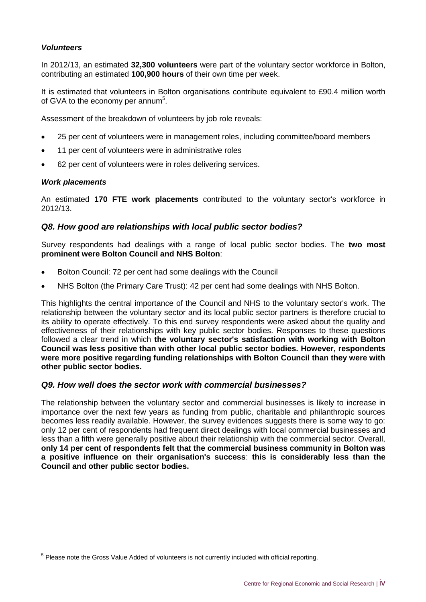#### *Volunteers*

In 2012/13, an estimated **32,300 volunteers** were part of the voluntary sector workforce in Bolton, contributing an estimated **100,900 hours** of their own time per week.

It is estimated that volunteers in Bolton organisations contribute equivalent to £90.4 million worth of GVA to the economy per annum<sup>5</sup>.

Assessment of the breakdown of volunteers by job role reveals:

- 25 per cent of volunteers were in management roles, including committee/board members
- 11 per cent of volunteers were in administrative roles
- 62 per cent of volunteers were in roles delivering services.

#### *Work placements*

 $\overline{a}$ 

An estimated **170 FTE work placements** contributed to the voluntary sector's workforce in 2012/13.

#### *Q8. How good are relationships with local public sector bodies?*

Survey respondents had dealings with a range of local public sector bodies. The **two most prominent were Bolton Council and NHS Bolton**:

- Bolton Council: 72 per cent had some dealings with the Council
- NHS Bolton (the Primary Care Trust): 42 per cent had some dealings with NHS Bolton.

This highlights the central importance of the Council and NHS to the voluntary sector's work. The relationship between the voluntary sector and its local public sector partners is therefore crucial to its ability to operate effectively. To this end survey respondents were asked about the quality and effectiveness of their relationships with key public sector bodies. Responses to these questions followed a clear trend in which **the voluntary sector's satisfaction with working with Bolton Council was less positive than with other local public sector bodies. However, respondents were more positive regarding funding relationships with Bolton Council than they were with other public sector bodies.**

#### *Q9. How well does the sector work with commercial businesses?*

The relationship between the voluntary sector and commercial businesses is likely to increase in importance over the next few years as funding from public, charitable and philanthropic sources becomes less readily available. However, the survey evidences suggests there is some way to go: only 12 per cent of respondents had frequent direct dealings with local commercial businesses and less than a fifth were generally positive about their relationship with the commercial sector. Overall, **only 14 per cent of respondents felt that the commercial business community in Bolton was a positive influence on their organisation's success**: **this is considerably less than the Council and other public sector bodies.**

<sup>&</sup>lt;sup>5</sup> Please note the Gross Value Added of volunteers is not currently included with official reporting.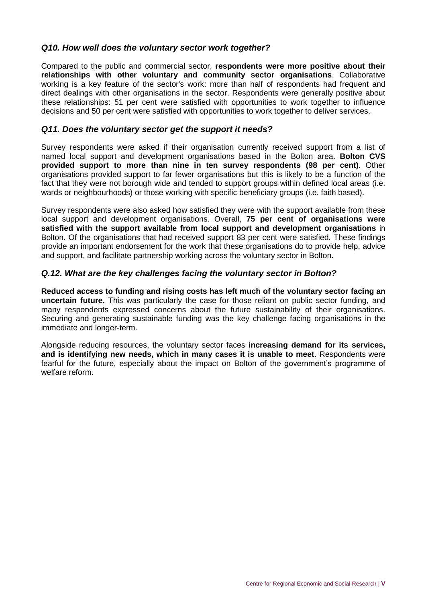#### *Q10. How well does the voluntary sector work together?*

Compared to the public and commercial sector, **respondents were more positive about their relationships with other voluntary and community sector organisations**. Collaborative working is a key feature of the sector's work: more than half of respondents had frequent and direct dealings with other organisations in the sector. Respondents were generally positive about these relationships: 51 per cent were satisfied with opportunities to work together to influence decisions and 50 per cent were satisfied with opportunities to work together to deliver services.

#### *Q11. Does the voluntary sector get the support it needs?*

Survey respondents were asked if their organisation currently received support from a list of named local support and development organisations based in the Bolton area. **Bolton CVS provided support to more than nine in ten survey respondents (98 per cent)**. Other organisations provided support to far fewer organisations but this is likely to be a function of the fact that they were not borough wide and tended to support groups within defined local areas (i.e. wards or neighbourhoods) or those working with specific beneficiary groups (i.e. faith based).

Survey respondents were also asked how satisfied they were with the support available from these local support and development organisations. Overall, **75 per cent of organisations were satisfied with the support available from local support and development organisations** in Bolton. Of the organisations that had received support 83 per cent were satisfied. These findings provide an important endorsement for the work that these organisations do to provide help, advice and support, and facilitate partnership working across the voluntary sector in Bolton.

#### *Q.12. What are the key challenges facing the voluntary sector in Bolton?*

**Reduced access to funding and rising costs has left much of the voluntary sector facing an uncertain future.** This was particularly the case for those reliant on public sector funding, and many respondents expressed concerns about the future sustainability of their organisations. Securing and generating sustainable funding was the key challenge facing organisations in the immediate and longer-term.

Alongside reducing resources, the voluntary sector faces **increasing demand for its services, and is identifying new needs, which in many cases it is unable to meet**. Respondents were fearful for the future, especially about the impact on Bolton of the government's programme of welfare reform.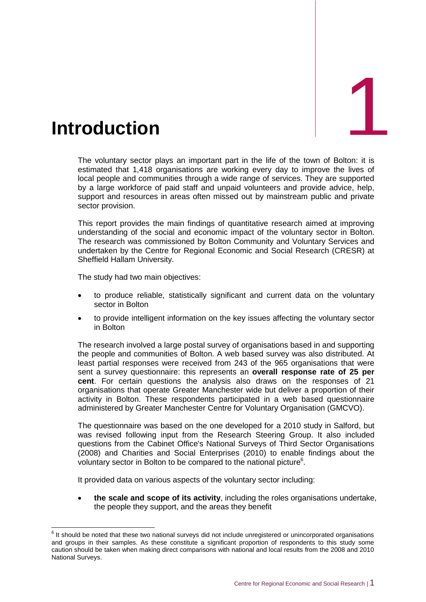<span id="page-11-0"></span>

The voluntary sector plays an important part in the life of the town of Bolton: it is estimated that 1,418 organisations are working every day to improve the lives of local people and communities through a wide range of services. They are supported by a large workforce of paid staff and unpaid volunteers and provide advice, help, support and resources in areas often missed out by mainstream public and private sector provision.

This report provides the main findings of quantitative research aimed at improving understanding of the social and economic impact of the voluntary sector in Bolton. The research was commissioned by Bolton Community and Voluntary Services and undertaken by the Centre for Regional Economic and Social Research (CRESR) at Sheffield Hallam University.

The study had two main objectives:

- to produce reliable, statistically significant and current data on the voluntary sector in Bolton
- to provide intelligent information on the key issues affecting the voluntary sector in Bolton

The research involved a large postal survey of organisations based in and supporting the people and communities of Bolton. A web based survey was also distributed. At least partial responses were received from 243 of the 965 organisations that were sent a survey questionnaire: this represents an **overall response rate of 25 per cent**. For certain questions the analysis also draws on the responses of 21 organisations that operate Greater Manchester wide but deliver a proportion of their activity in Bolton. These respondents participated in a web based questionnaire administered by Greater Manchester Centre for Voluntary Organisation (GMCVO).

The questionnaire was based on the one developed for a 2010 study in Salford, but was revised following input from the Research Steering Group. It also included questions from the Cabinet Office's National Surveys of Third Sector Organisations (2008) and Charities and Social Enterprises (2010) to enable findings about the voluntary sector in Bolton to be compared to the national picture<sup>6</sup>.

It provided data on various aspects of the voluntary sector including:

 **the scale and scope of its activity**, including the roles organisations undertake, the people they support, and the areas they benefit

**ENECT TE SECT 2018**<br><sup>6</sup> It should be noted that these two national surveys did not include unregistered or unincorporated organisations and groups in their samples. As these constitute a significant proportion of respondents to this study some caution should be taken when making direct comparisons with national and local results from the 2008 and 2010 National Surveys.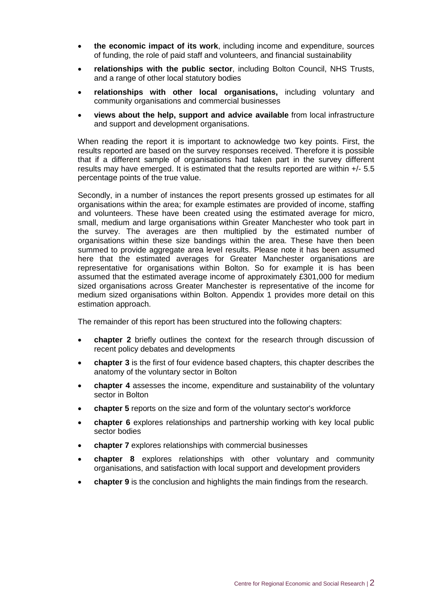- **the economic impact of its work**, including income and expenditure, sources of funding, the role of paid staff and volunteers, and financial sustainability
- **relationships with the public sector**, including Bolton Council, NHS Trusts, and a range of other local statutory bodies
- **relationships with other local organisations,** including voluntary and community organisations and commercial businesses
- **views about the help, support and advice available** from local infrastructure and support and development organisations.

When reading the report it is important to acknowledge two key points. First, the results reported are based on the survey responses received. Therefore it is possible that if a different sample of organisations had taken part in the survey different results may have emerged. It is estimated that the results reported are within +/- 5.5 percentage points of the true value.

Secondly, in a number of instances the report presents grossed up estimates for all organisations within the area; for example estimates are provided of income, staffing and volunteers. These have been created using the estimated average for micro, small, medium and large organisations within Greater Manchester who took part in the survey. The averages are then multiplied by the estimated number of organisations within these size bandings within the area. These have then been summed to provide aggregate area level results. Please note it has been assumed here that the estimated averages for Greater Manchester organisations are representative for organisations within Bolton. So for example it is has been assumed that the estimated average income of approximately £301,000 for medium sized organisations across Greater Manchester is representative of the income for medium sized organisations within Bolton. Appendix 1 provides more detail on this estimation approach.

The remainder of this report has been structured into the following chapters:

- **chapter 2** briefly outlines the context for the research through discussion of recent policy debates and developments
- **chapter 3** is the first of four evidence based chapters, this chapter describes the anatomy of the voluntary sector in Bolton
- **chapter 4** assesses the income, expenditure and sustainability of the voluntary sector in Bolton
- **chapter 5** reports on the size and form of the voluntary sector's workforce
- **chapter 6** explores relationships and partnership working with key local public sector bodies
- **chapter 7** explores relationships with commercial businesses
- **chapter 8** explores relationships with other voluntary and community organisations, and satisfaction with local support and development providers
- **chapter 9** is the conclusion and highlights the main findings from the research.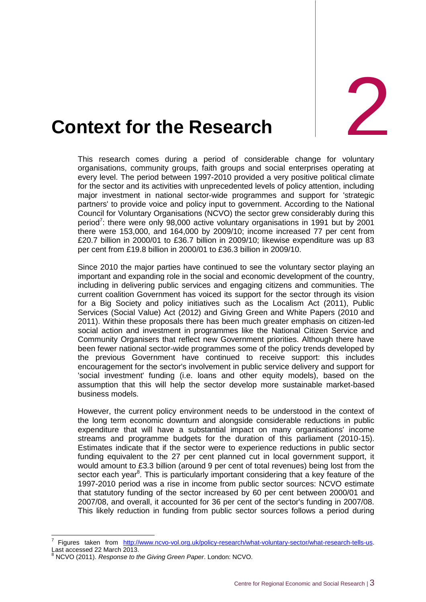

# <span id="page-13-0"></span>**2. Context for the Research**

This research comes during a period of considerable change for voluntary organisations, community groups, faith groups and social enterprises operating at every level. The period between 1997-2010 provided a very positive political climate for the sector and its activities with unprecedented levels of policy attention, including major investment in national sector-wide programmes and support for 'strategic partners' to provide voice and policy input to government. According to the National Council for Voluntary Organisations (NCVO) the sector grew considerably during this period<sup>7</sup>: there were only 98,000 active voluntary organisations in 1991 but by 2001 there were 153,000, and 164,000 by 2009/10; income increased 77 per cent from £20.7 billion in 2000/01 to £36.7 billion in 2009/10; likewise expenditure was up 83 per cent from £19.8 billion in 2000/01 to £36.3 billion in 2009/10.

Since 2010 the major parties have continued to see the voluntary sector playing an important and expanding role in the social and economic development of the country, including in delivering public services and engaging citizens and communities. The current coalition Government has voiced its support for the sector through its vision for a Big Society and policy initiatives such as the Localism Act (2011), Public Services (Social Value) Act (2012) and Giving Green and White Papers (2010 and 2011). Within these proposals there has been much greater emphasis on citizen-led social action and investment in programmes like the National Citizen Service and Community Organisers that reflect new Government priorities. Although there have been fewer national sector-wide programmes some of the policy trends developed by the previous Government have continued to receive support: this includes encouragement for the sector's involvement in public service delivery and support for 'social investment' funding (i.e. loans and other equity models), based on the assumption that this will help the sector develop more sustainable market-based business models.

However, the current policy environment needs to be understood in the context of the long term economic downturn and alongside considerable reductions in public expenditure that will have a substantial impact on many organisations' income streams and programme budgets for the duration of this parliament (2010-15). Estimates indicate that if the sector were to experience reductions in public sector funding equivalent to the 27 per cent planned cut in local government support, it would amount to £3.3 billion (around 9 per cent of total revenues) being lost from the sector each year<sup>8</sup>. This is particularly important considering that a key feature of the 1997-2010 period was a rise in income from public sector sources: NCVO estimate that statutory funding of the sector increased by 60 per cent between 2000/01 and 2007/08, and overall, it accounted for 36 per cent of the sector's funding in 2007/08. This likely reduction in funding from public sector sources follows a period during

-

<sup>7</sup> Figures taken from [http://www.ncvo-vol.org.uk/policy-research/what-voluntary-sector/what-research-tells-us.](http://www.ncvo-vol.org.uk/policy-research/what-voluntary-sector/what-research-tells-us) Last accessed 22 March 2013.

<sup>8</sup> NCVO (2011). *Response to the Giving Green Paper*. London: NCVO.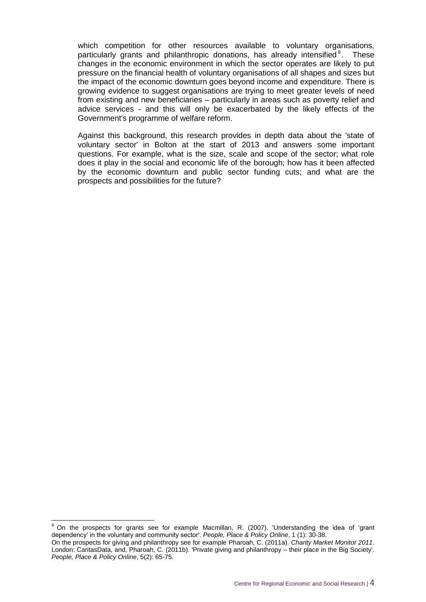which competition for other resources available to voluntary organisations, particularly grants and philanthropic donations, has already intensified  $9$ . These changes in the economic environment in which the sector operates are likely to put pressure on the financial health of voluntary organisations of all shapes and sizes but the impact of the economic downturn goes beyond income and expenditure. There is growing evidence to suggest organisations are trying to meet greater levels of need from existing and new beneficiaries – particularly in areas such as poverty relief and advice services - and this will only be exacerbated by the likely effects of the Government's programme of welfare reform.

Against this background, this research provides in depth data about the 'state of voluntary sector' in Bolton at the start of 2013 and answers some important questions. For example, what is the size, scale and scope of the sector; what role does it play in the social and economic life of the borough; how has it been affected by the economic downturn and public sector funding cuts; and what are the prospects and possibilities for the future?

-

<sup>9</sup> On the prospects for grants see for example Macmillan, R. (2007). 'Understanding the idea of 'grant dependency' in the voluntary and community sector'. *People, Place & Policy Online*, 1 (1): 30-38. On the prospects for giving and philanthropy see for example Pharoah, C. (2011a). *Charity Market Monitor 2011*. London: CaritasData, and, Pharoah, C. (2011b). 'Private giving and philanthropy – their place in the Big Society'. *People, Place & Policy Online*, 5(2): 65-75.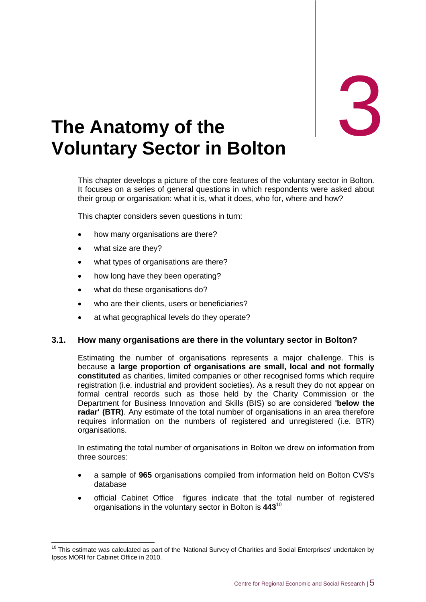

### <span id="page-15-0"></span>3. **The Anatomy of the Voluntary Sector in Bolton**

This chapter develops a picture of the core features of the voluntary sector in Bolton. It focuses on a series of general questions in which respondents were asked about their group or organisation: what it is, what it does, who for, where and how?

This chapter considers seven questions in turn:

- how many organisations are there?
- what size are they?

-

- what types of organisations are there?
- how long have they been operating?
- what do these organisations do?
- who are their clients, users or beneficiaries?
- at what geographical levels do they operate?

#### **3.1. How many organisations are there in the voluntary sector in Bolton?**

Estimating the number of organisations represents a major challenge. This is because **a large proportion of organisations are small, local and not formally constituted** as charities, limited companies or other recognised forms which require registration (i.e. industrial and provident societies). As a result they do not appear on formal central records such as those held by the Charity Commission or the Department for Business Innovation and Skills (BIS) so are considered **'below the radar' (BTR)**. Any estimate of the total number of organisations in an area therefore requires information on the numbers of registered and unregistered (i.e. BTR) organisations.

In estimating the total number of organisations in Bolton we drew on information from three sources:

- a sample of **965** organisations compiled from information held on Bolton CVS's database
- official Cabinet Office figures indicate that the total number of registered organisations in the voluntary sector in Bolton is **443**<sup>10</sup>

 $10$  This estimate was calculated as part of the 'National Survey of Charities and Social Enterprises' undertaken by Ipsos MORI for Cabinet Office in 2010.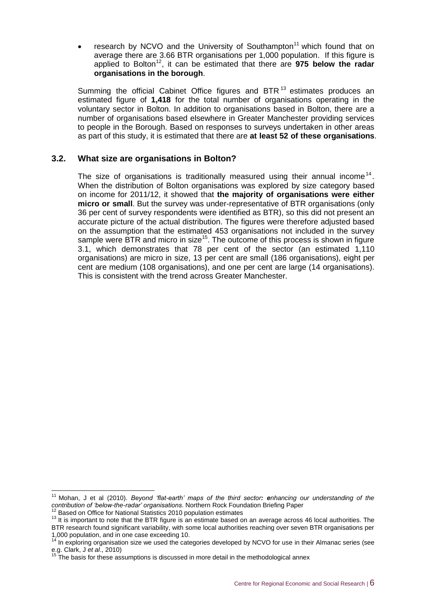research by NCVO and the University of Southampton<sup>11</sup> which found that on average there are 3.66 BTR organisations per 1,000 population. If this figure is applied to Bolton<sup>12</sup>, it can be estimated that there are **975 below the radar organisations in the borough**.

Summing the official Cabinet Office figures and BTR $<sup>13</sup>$  estimates produces an</sup> estimated figure of **1,418** for the total number of organisations operating in the voluntary sector in Bolton. In addition to organisations based in Bolton, there are a number of organisations based elsewhere in Greater Manchester providing services to people in the Borough. Based on responses to surveys undertaken in other areas as part of this study, it is estimated that there are **at least 52 of these organisations**.

#### **3.2. What size are organisations in Bolton?**

The size of organisations is traditionally measured using their annual income<sup>14</sup>. When the distribution of Bolton organisations was explored by size category based on income for 2011/12, it showed that **the majority of organisations were either micro or small**. But the survey was under-representative of BTR organisations (only 36 per cent of survey respondents were identified as BTR), so this did not present an accurate picture of the actual distribution. The figures were therefore adjusted based on the assumption that the estimated 453 organisations not included in the survey sample were BTR and micro in size<sup>15</sup>. The outcome of this process is shown in figure 3.1, which demonstrates that 78 per cent of the sector (an estimated 1,110 organisations) are micro in size, 13 per cent are small (186 organisations), eight per cent are medium (108 organisations), and one per cent are large (14 organisations). This is consistent with the trend across Greater Manchester.

 $\overline{1}$ 

<sup>11</sup> Mohan, J et al (2010). *Beyond 'flat-earth' maps of the third sector: enhancing our understanding of the contribution of 'below-the-radar' organisations*. Northern Rock Foundation Briefing Paper

<sup>&</sup>lt;sup>12</sup> Based on Office for National Statistics 2010 population estimates

<sup>&</sup>lt;sup>13</sup> It is important to note that the BTR figure is an estimate based on an average across 46 local authorities. The

BTR research found significant variability, with some local authorities reaching over seven BTR organisations per 1,000 population, and in one case exceeding 10.

 $14$  In exploring organisation size we used the categories developed by NCVO for use in their Almanac series (see e.g. Clark, J *et al*., 2010)

The basis for these assumptions is discussed in more detail in the methodological annex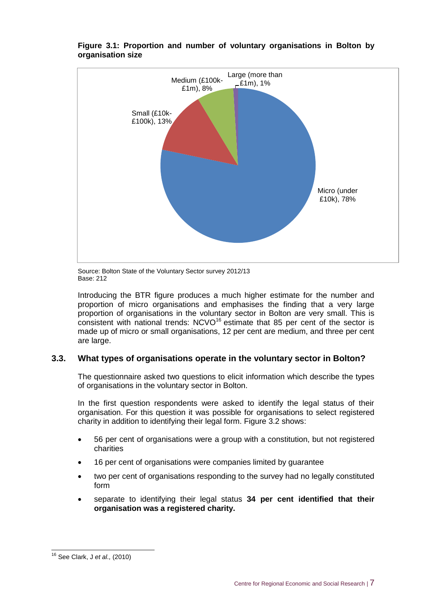

#### **Figure 3.1: Proportion and number of voluntary organisations in Bolton by organisation size**

Source: Bolton State of the Voluntary Sector survey 2012/13 Base: 212

Introducing the BTR figure produces a much higher estimate for the number and proportion of micro organisations and emphasises the finding that a very large proportion of organisations in the voluntary sector in Bolton are very small. This is consistent with national trends:  $NCVO^{16}$  estimate that 85 per cent of the sector is made up of micro or small organisations, 12 per cent are medium, and three per cent are large.

#### **3.3. What types of organisations operate in the voluntary sector in Bolton?**

The questionnaire asked two questions to elicit information which describe the types of organisations in the voluntary sector in Bolton.

In the first question respondents were asked to identify the legal status of their organisation. For this question it was possible for organisations to select registered charity in addition to identifying their legal form. Figure 3.2 shows:

- 56 per cent of organisations were a group with a constitution, but not registered charities
- 16 per cent of organisations were companies limited by guarantee
- two per cent of organisations responding to the survey had no legally constituted form
- separate to identifying their legal status **34 per cent identified that their organisation was a registered charity.**

 $\overline{1}$ <sup>16</sup> See Clark, J *et al.,* (2010)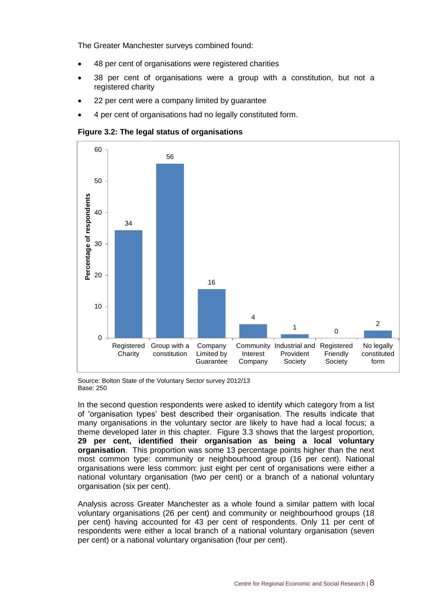The Greater Manchester surveys combined found:

- 48 per cent of organisations were registered charities
- 38 per cent of organisations were a group with a constitution, but not a registered charity
- 22 per cent were a company limited by guarantee
- 4 per cent of organisations had no legally constituted form.

**Figure 3.2: The legal status of organisations**



Source: Bolton State of the Voluntary Sector survey 2012/13 Base: 250

In the second question respondents were asked to identify which category from a list of 'organisation types' best described their organisation. The results indicate that many organisations in the voluntary sector are likely to have had a local focus; a theme developed later in this chapter. Figure 3.3 shows that the largest proportion, **29 per cent, identified their organisation as being a local voluntary organisation**. This proportion was some 13 percentage points higher than the next most common type: community or neighbourhood group (16 per cent). National organisations were less common: just eight per cent of organisations were either a national voluntary organisation (two per cent) or a branch of a national voluntary organisation (six per cent).

Analysis across Greater Manchester as a whole found a similar pattern with local voluntary organisations (26 per cent) and community or neighbourhood groups (18 per cent) having accounted for 43 per cent of respondents. Only 11 per cent of respondents were either a local branch of a national voluntary organisation (seven per cent) or a national voluntary organisation (four per cent).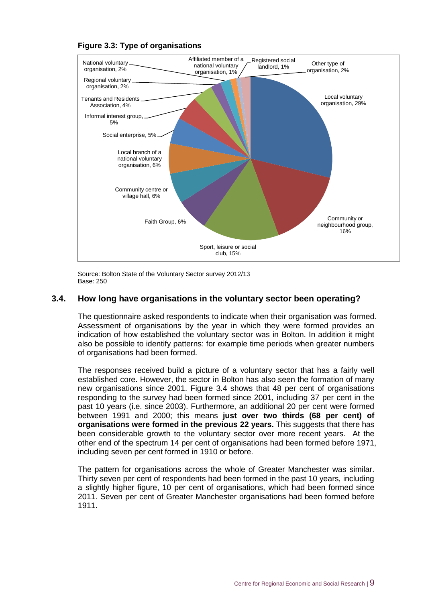

#### **Figure 3.3: Type of organisations**

Source: Bolton State of the Voluntary Sector survey 2012/13 Base: 250

#### **3.4. How long have organisations in the voluntary sector been operating?**

The questionnaire asked respondents to indicate when their organisation was formed. Assessment of organisations by the year in which they were formed provides an indication of how established the voluntary sector was in Bolton. In addition it might also be possible to identify patterns: for example time periods when greater numbers of organisations had been formed.

The responses received build a picture of a voluntary sector that has a fairly well established core. However, the sector in Bolton has also seen the formation of many new organisations since 2001. Figure 3.4 shows that 48 per cent of organisations responding to the survey had been formed since 2001, including 37 per cent in the past 10 years (i.e. since 2003). Furthermore, an additional 20 per cent were formed between 1991 and 2000; this means **just over two thirds (68 per cent) of organisations were formed in the previous 22 years.** This suggests that there has been considerable growth to the voluntary sector over more recent years. At the other end of the spectrum 14 per cent of organisations had been formed before 1971, including seven per cent formed in 1910 or before.

The pattern for organisations across the whole of Greater Manchester was similar. Thirty seven per cent of respondents had been formed in the past 10 years, including a slightly higher figure, 10 per cent of organisations, which had been formed since 2011. Seven per cent of Greater Manchester organisations had been formed before 1911.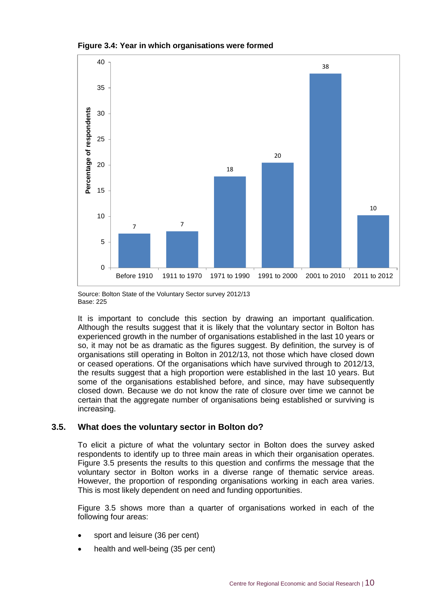



Source: Bolton State of the Voluntary Sector survey 2012/13 Base: 225

It is important to conclude this section by drawing an important qualification. Although the results suggest that it is likely that the voluntary sector in Bolton has experienced growth in the number of organisations established in the last 10 years or so, it may not be as dramatic as the figures suggest. By definition, the survey is of organisations still operating in Bolton in 2012/13, not those which have closed down or ceased operations. Of the organisations which have survived through to 2012/13, the results suggest that a high proportion were established in the last 10 years. But some of the organisations established before, and since, may have subsequently closed down. Because we do not know the rate of closure over time we cannot be certain that the aggregate number of organisations being established or surviving is increasing.

#### **3.5. What does the voluntary sector in Bolton do?**

To elicit a picture of what the voluntary sector in Bolton does the survey asked respondents to identify up to three main areas in which their organisation operates. Figure 3.5 presents the results to this question and confirms the message that the voluntary sector in Bolton works in a diverse range of thematic service areas. However, the proportion of responding organisations working in each area varies. This is most likely dependent on need and funding opportunities.

Figure 3.5 shows more than a quarter of organisations worked in each of the following four areas:

- sport and leisure (36 per cent)
- health and well-being (35 per cent)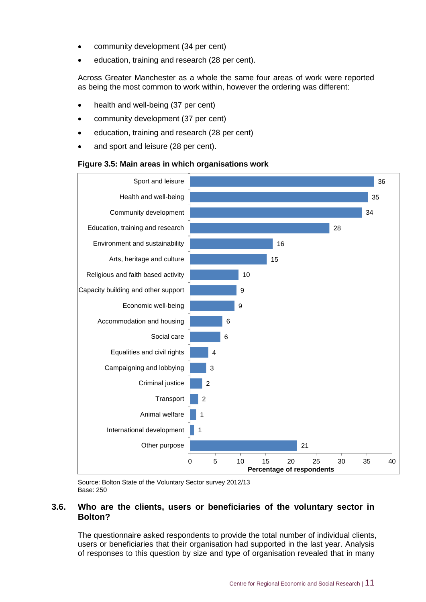- community development (34 per cent)
- education, training and research (28 per cent).

Across Greater Manchester as a whole the same four areas of work were reported as being the most common to work within, however the ordering was different:

- health and well-being (37 per cent)
- community development (37 per cent)
- education, training and research (28 per cent)
- and sport and leisure (28 per cent).

#### **Figure 3.5: Main areas in which organisations work**



Source: Bolton State of the Voluntary Sector survey 2012/13 Base: 250

#### **3.6. Who are the clients, users or beneficiaries of the voluntary sector in Bolton?**

The questionnaire asked respondents to provide the total number of individual clients, users or beneficiaries that their organisation had supported in the last year. Analysis of responses to this question by size and type of organisation revealed that in many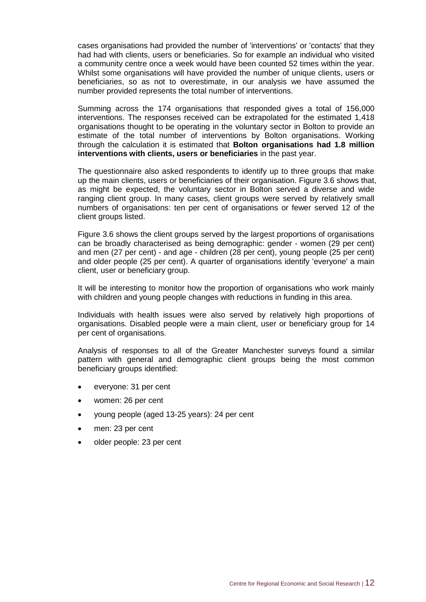cases organisations had provided the number of 'interventions' or 'contacts' that they had had with clients, users or beneficiaries. So for example an individual who visited a community centre once a week would have been counted 52 times within the year. Whilst some organisations will have provided the number of unique clients, users or beneficiaries, so as not to overestimate, in our analysis we have assumed the number provided represents the total number of interventions.

Summing across the 174 organisations that responded gives a total of 156,000 interventions. The responses received can be extrapolated for the estimated 1,418 organisations thought to be operating in the voluntary sector in Bolton to provide an estimate of the total number of interventions by Bolton organisations. Working through the calculation it is estimated that **Bolton organisations had 1.8 million interventions with clients, users or beneficiaries** in the past year.

The questionnaire also asked respondents to identify up to three groups that make up the main clients, users or beneficiaries of their organisation. Figure 3.6 shows that, as might be expected, the voluntary sector in Bolton served a diverse and wide ranging client group. In many cases, client groups were served by relatively small numbers of organisations: ten per cent of organisations or fewer served 12 of the client groups listed.

Figure 3.6 shows the client groups served by the largest proportions of organisations can be broadly characterised as being demographic: gender - women (29 per cent) and men (27 per cent) - and age - children (28 per cent), young people (25 per cent) and older people (25 per cent). A quarter of organisations identify 'everyone' a main client, user or beneficiary group.

It will be interesting to monitor how the proportion of organisations who work mainly with children and young people changes with reductions in funding in this area.

Individuals with health issues were also served by relatively high proportions of organisations. Disabled people were a main client, user or beneficiary group for 14 per cent of organisations.

Analysis of responses to all of the Greater Manchester surveys found a similar pattern with general and demographic client groups being the most common beneficiary groups identified:

- everyone: 31 per cent
- women: 26 per cent
- young people (aged 13-25 years): 24 per cent
- men: 23 per cent
- older people: 23 per cent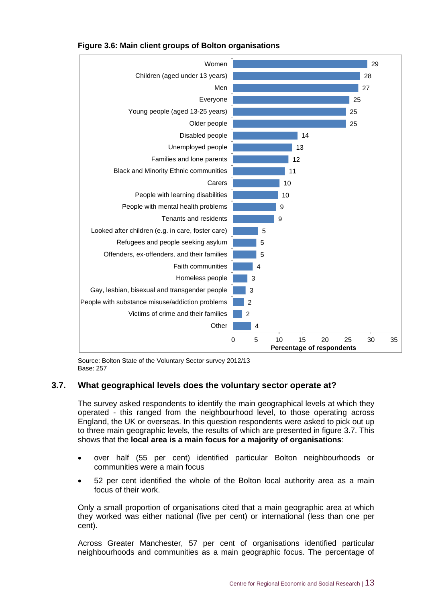

#### **Figure 3.6: Main client groups of Bolton organisations**

Source: Bolton State of the Voluntary Sector survey 2012/13 Base: 257

#### **3.7. What geographical levels does the voluntary sector operate at?**

The survey asked respondents to identify the main geographical levels at which they operated - this ranged from the neighbourhood level, to those operating across England, the UK or overseas. In this question respondents were asked to pick out up to three main geographic levels, the results of which are presented in figure 3.7. This shows that the **local area is a main focus for a majority of organisations**:

- over half (55 per cent) identified particular Bolton neighbourhoods or communities were a main focus
- 52 per cent identified the whole of the Bolton local authority area as a main focus of their work.

Only a small proportion of organisations cited that a main geographic area at which they worked was either national (five per cent) or international (less than one per cent).

Across Greater Manchester, 57 per cent of organisations identified particular neighbourhoods and communities as a main geographic focus. The percentage of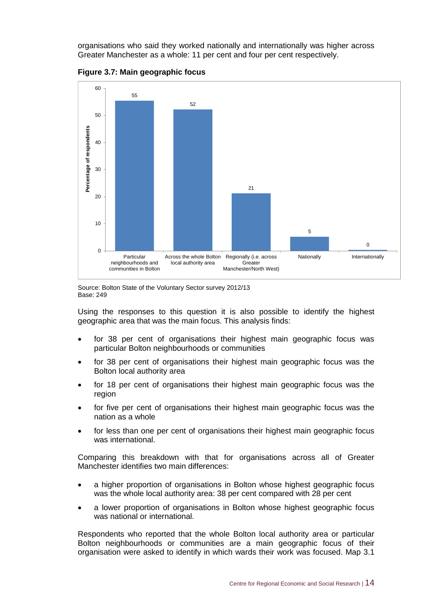organisations who said they worked nationally and internationally was higher across Greater Manchester as a whole: 11 per cent and four per cent respectively.



**Figure 3.7: Main geographic focus**

Source: Bolton State of the Voluntary Sector survey 2012/13 Base: 249

Using the responses to this question it is also possible to identify the highest geographic area that was the main focus. This analysis finds:

- for 38 per cent of organisations their highest main geographic focus was particular Bolton neighbourhoods or communities
- for 38 per cent of organisations their highest main geographic focus was the Bolton local authority area
- for 18 per cent of organisations their highest main geographic focus was the region
- for five per cent of organisations their highest main geographic focus was the nation as a whole
- for less than one per cent of organisations their highest main geographic focus was international.

Comparing this breakdown with that for organisations across all of Greater Manchester identifies two main differences:

- a higher proportion of organisations in Bolton whose highest geographic focus was the whole local authority area: 38 per cent compared with 28 per cent
- a lower proportion of organisations in Bolton whose highest geographic focus was national or international.

Respondents who reported that the whole Bolton local authority area or particular Bolton neighbourhoods or communities are a main geographic focus of their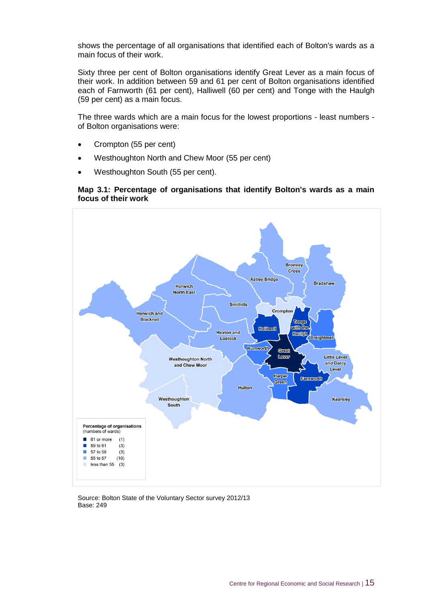shows the percentage of all organisations that identified each of Bolton's wards as a main focus of their work.

Sixty three per cent of Bolton organisations identify Great Lever as a main focus of their work. In addition between 59 and 61 per cent of Bolton organisations identified each of Farnworth (61 per cent), Halliwell (60 per cent) and Tonge with the Haulgh (59 per cent) as a main focus.

The three wards which are a main focus for the lowest proportions - least numbers of Bolton organisations were:

- Crompton (55 per cent)
- Westhoughton North and Chew Moor (55 per cent)
- Westhoughton South (55 per cent).

#### **Map 3.1: Percentage of organisations that identify Bolton's wards as a main focus of their work**



Source: Bolton State of the Voluntary Sector survey 2012/13 Base: 249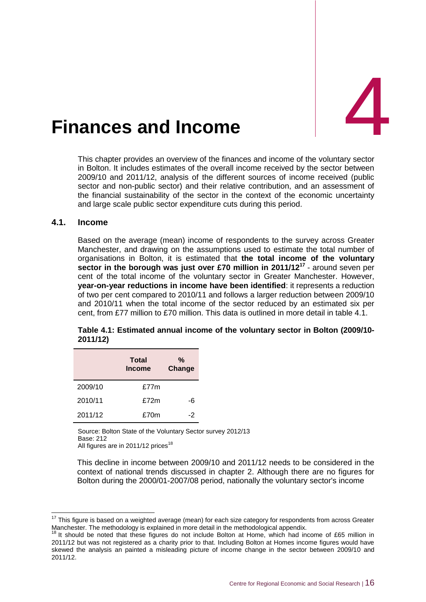<span id="page-26-0"></span>

This chapter provides an overview of the finances and income of the voluntary sector in Bolton. It includes estimates of the overall income received by the sector between 2009/10 and 2011/12, analysis of the different sources of income received (public sector and non-public sector) and their relative contribution, and an assessment of the financial sustainability of the sector in the context of the economic uncertainty and large scale public sector expenditure cuts during this period.

#### **4.1. Income**

-

Based on the average (mean) income of respondents to the survey across Greater Manchester, and drawing on the assumptions used to estimate the total number of organisations in Bolton, it is estimated that **the total income of the voluntary sector in the borough was just over £70 million in 2011/12<sup>17</sup>** - around seven per cent of the total income of the voluntary sector in Greater Manchester. However, **year-on-year reductions in income have been identified**: it represents a reduction of two per cent compared to 2010/11 and follows a larger reduction between 2009/10 and 2010/11 when the total income of the sector reduced by an estimated six per cent, from £77 million to £70 million. This data is outlined in more detail in table 4.1.

|         | Total<br><b>Income</b> | %<br>Change |  |
|---------|------------------------|-------------|--|
| 2009/10 | £77m                   |             |  |
| 2010/11 | £72m                   | -6          |  |
| 2011/12 | £70m                   | -2          |  |

#### **Table 4.1: Estimated annual income of the voluntary sector in Bolton (2009/10- 2011/12)**

Source: Bolton State of the Voluntary Sector survey 2012/13 Base: 212 All figures are in 2011/12 prices<sup>18</sup>

This decline in income between 2009/10 and 2011/12 needs to be considered in the context of national trends discussed in chapter 2. Although there are no figures for Bolton during the 2000/01-2007/08 period, nationally the voluntary sector's income

 $17$  This figure is based on a weighted average (mean) for each size category for respondents from across Greater Manchester. The methodological appendix.<br><sup>18</sup> It ebould be noted that the weblack is explained in more detail in the methodological appendix.

It should be noted that these figures do not include Bolton at Home, which had income of £65 million in 2011/12 but was not registered as a charity prior to that. Including Bolton at Homes income figures would have skewed the analysis an painted a misleading picture of income change in the sector between 2009/10 and 2011/12.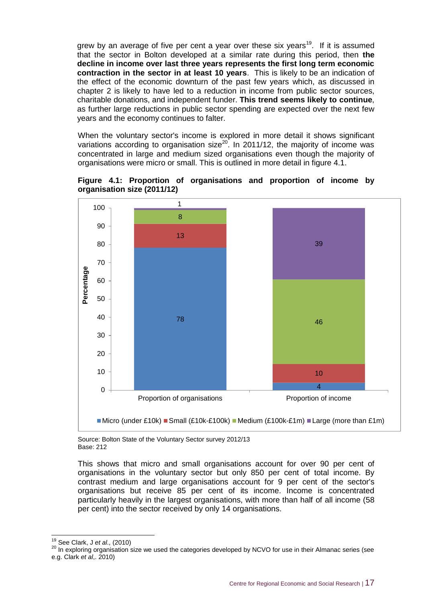grew by an average of five per cent a year over these six years<sup>19</sup>. If it is assumed that the sector in Bolton developed at a similar rate during this period, then **the decline in income over last three years represents the first long term economic contraction in the sector in at least 10 years**. This is likely to be an indication of the effect of the economic downturn of the past few years which, as discussed in chapter 2 is likely to have led to a reduction in income from public sector sources, charitable donations, and independent funder. **This trend seems likely to continue**, as further large reductions in public sector spending are expected over the next few years and the economy continues to falter.

When the voluntary sector's income is explored in more detail it shows significant variations according to organisation size<sup>20</sup>. In 2011/12, the majority of income was concentrated in large and medium sized organisations even though the majority of organisations were micro or small. This is outlined in more detail in figure 4.1.

**Figure 4.1: Proportion of organisations and proportion of income by organisation size (2011/12)**



Source: Bolton State of the Voluntary Sector survey 2012/13 Base: 212

This shows that micro and small organisations account for over 90 per cent of organisations in the voluntary sector but only 850 per cent of total income. By contrast medium and large organisations account for 9 per cent of the sector's organisations but receive 85 per cent of its income. Income is concentrated particularly heavily in the largest organisations, with more than half of all income (58 per cent) into the sector received by only 14 organisations.

-

<sup>19</sup> See Clark, J *et al.,* (2010)

<sup>&</sup>lt;sup>20</sup> In exploring organisation size we used the categories developed by NCVO for use in their Almanac series (see e.g. Clark *et al*,. 2010)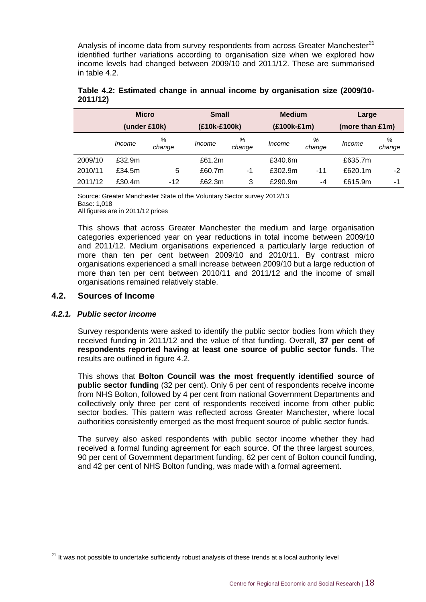Analysis of income data from survey respondents from across Greater Manchester<sup>21</sup> identified further variations according to organisation size when we explored how income levels had changed between 2009/10 and 2011/12. These are summarised in table 4.2.

|         | <b>Micro</b> |             | <b>Small</b> |             | <b>Medium</b> |             | Large           |             |
|---------|--------------|-------------|--------------|-------------|---------------|-------------|-----------------|-------------|
|         | (under £10k) |             | (£10k-£100k) |             | (£100k-£1m)   |             | (more than £1m) |             |
|         | Income       | %<br>change | Income       | %<br>change | Income        | %<br>change | Income          | %<br>change |
| 2009/10 | £32.9m       |             | £61.2m       |             | £340.6m       |             | £635.7m         |             |
| 2010/11 | £34.5m       | 5           | £60.7m       | -1          | £302.9m       | -11         | £620.1m         | -2          |
| 2011/12 | £30.4m       | $-12$       | £62.3m       | 3           | £290.9m       | -4          | £615.9m         | -1          |

#### **Table 4.2: Estimated change in annual income by organisation size (2009/10- 2011/12)**

Source: Greater Manchester State of the Voluntary Sector survey 2012/13 Base: 1,018 All figures are in 2011/12 prices

This shows that across Greater Manchester the medium and large organisation categories experienced year on year reductions in total income between 2009/10 and 2011/12. Medium organisations experienced a particularly large reduction of more than ten per cent between 2009/10 and 2010/11. By contrast micro organisations experienced a small increase between 2009/10 but a large reduction of more than ten per cent between 2010/11 and 2011/12 and the income of small organisations remained relatively stable.

#### **4.2. Sources of Income**

#### *4.2.1. Public sector income*

 $\overline{a}$ 

Survey respondents were asked to identify the public sector bodies from which they received funding in 2011/12 and the value of that funding. Overall, **37 per cent of respondents reported having at least one source of public sector funds**. The results are outlined in figure 4.2.

This shows that **Bolton Council was the most frequently identified source of public sector funding** (32 per cent). Only 6 per cent of respondents receive income from NHS Bolton, followed by 4 per cent from national Government Departments and collectively only three per cent of respondents received income from other public sector bodies. This pattern was reflected across Greater Manchester, where local authorities consistently emerged as the most frequent source of public sector funds.

The survey also asked respondents with public sector income whether they had received a formal funding agreement for each source. Of the three largest sources, 90 per cent of Government department funding, 62 per cent of Bolton council funding, and 42 per cent of NHS Bolton funding, was made with a formal agreement.

<sup>&</sup>lt;sup>21</sup> It was not possible to undertake sufficiently robust analysis of these trends at a local authority level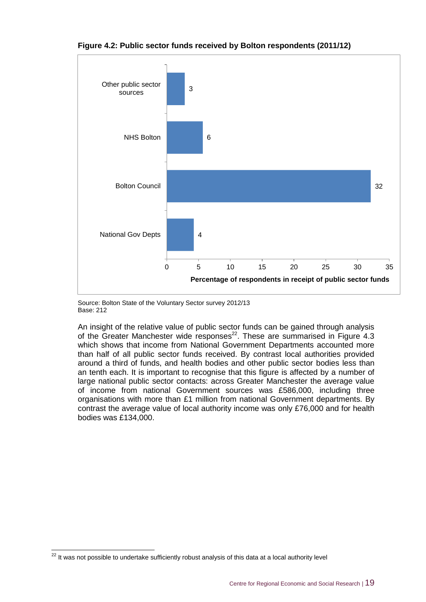

**Figure 4.2: Public sector funds received by Bolton respondents (2011/12)**

Source: Bolton State of the Voluntary Sector survey 2012/13 Base: 212

An insight of the relative value of public sector funds can be gained through analysis of the Greater Manchester wide responses $^{22}$ . These are summarised in Figure 4.3 which shows that income from National Government Departments accounted more than half of all public sector funds received. By contrast local authorities provided around a third of funds, and health bodies and other public sector bodies less than an tenth each. It is important to recognise that this figure is affected by a number of large national public sector contacts: across Greater Manchester the average value of income from national Government sources was £586,000, including three organisations with more than £1 million from national Government departments. By contrast the average value of local authority income was only £76,000 and for health bodies was £134,000.

 $\overline{a}$ 

 $22$  It was not possible to undertake sufficiently robust analysis of this data at a local authority level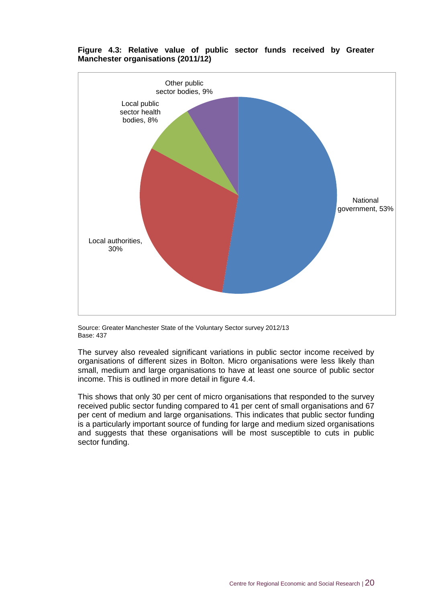

#### **Figure 4.3: Relative value of public sector funds received by Greater Manchester organisations (2011/12)**

Source: Greater Manchester State of the Voluntary Sector survey 2012/13 Base: 437

The survey also revealed significant variations in public sector income received by organisations of different sizes in Bolton. Micro organisations were less likely than small, medium and large organisations to have at least one source of public sector income. This is outlined in more detail in figure 4.4.

This shows that only 30 per cent of micro organisations that responded to the survey received public sector funding compared to 41 per cent of small organisations and 67 per cent of medium and large organisations. This indicates that public sector funding is a particularly important source of funding for large and medium sized organisations and suggests that these organisations will be most susceptible to cuts in public sector funding.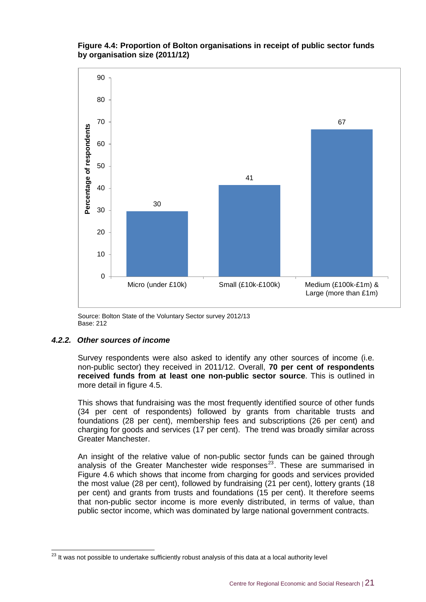#### **Figure 4.4: Proportion of Bolton organisations in receipt of public sector funds by organisation size (2011/12)**



Source: Bolton State of the Voluntary Sector survey 2012/13 Base: 212

#### *4.2.2. Other sources of income*

Survey respondents were also asked to identify any other sources of income (i.e. non-public sector) they received in 2011/12. Overall, **70 per cent of respondents received funds from at least one non-public sector source**. This is outlined in more detail in figure 4.5.

This shows that fundraising was the most frequently identified source of other funds (34 per cent of respondents) followed by grants from charitable trusts and foundations (28 per cent), membership fees and subscriptions (26 per cent) and charging for goods and services (17 per cent). The trend was broadly similar across Greater Manchester.

An insight of the relative value of non-public sector funds can be gained through analysis of the Greater Manchester wide responses $^{23}$ . These are summarised in Figure 4.6 which shows that income from charging for goods and services provided the most value (28 per cent), followed by fundraising (21 per cent), lottery grants (18 per cent) and grants from trusts and foundations (15 per cent). It therefore seems that non-public sector income is more evenly distributed, in terms of value, than public sector income, which was dominated by large national government contracts.

 $\overline{a}$  $^{23}$  It was not possible to undertake sufficiently robust analysis of this data at a local authority level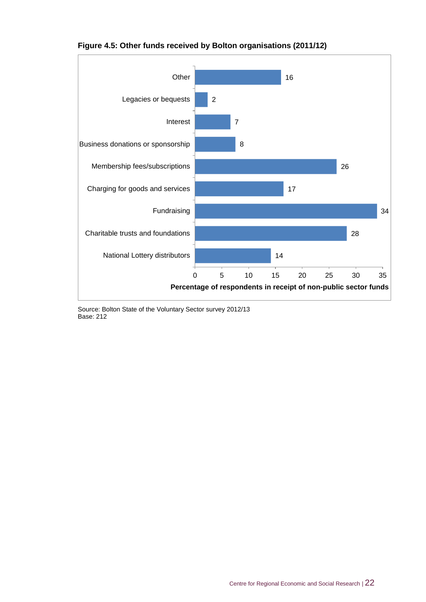

#### **Figure 4.5: Other funds received by Bolton organisations (2011/12)**

Source: Bolton State of the Voluntary Sector survey 2012/13 Base: 212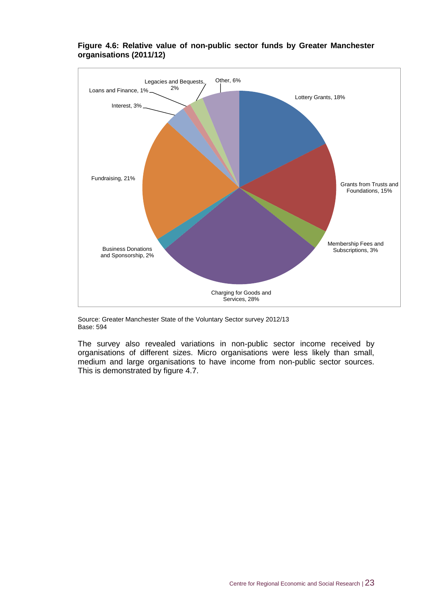

#### **Figure 4.6: Relative value of non-public sector funds by Greater Manchester organisations (2011/12)**

Source: Greater Manchester State of the Voluntary Sector survey 2012/13 Base: 594

The survey also revealed variations in non-public sector income received by organisations of different sizes. Micro organisations were less likely than small, medium and large organisations to have income from non-public sector sources. This is demonstrated by figure 4.7.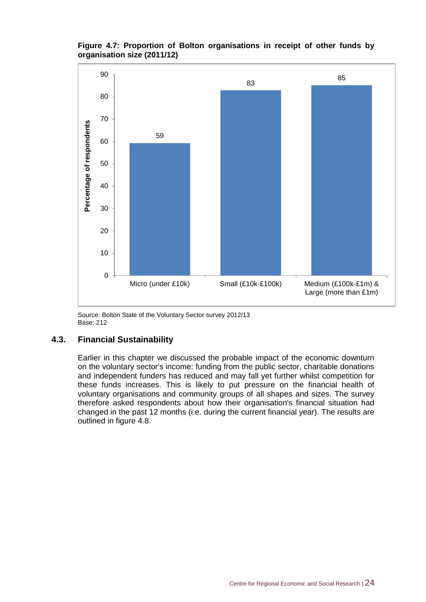#### **Figure 4.7: Proportion of Bolton organisations in receipt of other funds by organisation size (2011/12)**



Source: Bolton State of the Voluntary Sector survey 2012/13 Base: 212

#### **4.3. Financial Sustainability**

Earlier in this chapter we discussed the probable impact of the economic downturn on the voluntary sector's income: funding from the public sector, charitable donations and independent funders has reduced and may fall yet further whilst competition for these funds increases. This is likely to put pressure on the financial health of voluntary organisations and community groups of all shapes and sizes. The survey therefore asked respondents about how their organisation's financial situation had changed in the past 12 months (i.e. during the current financial year). The results are outlined in figure 4.8.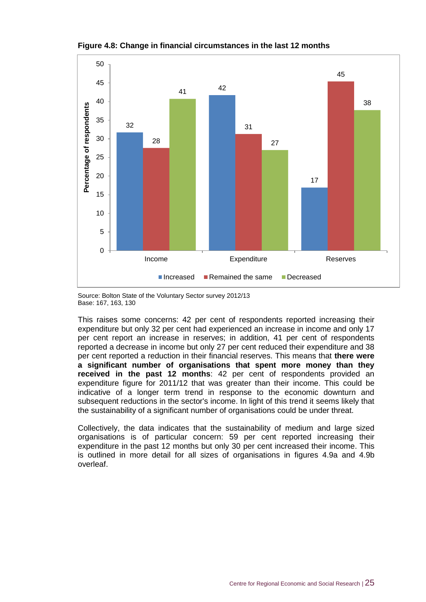

**Figure 4.8: Change in financial circumstances in the last 12 months**

Source: Bolton State of the Voluntary Sector survey 2012/13 Base: 167, 163, 130

This raises some concerns: 42 per cent of respondents reported increasing their expenditure but only 32 per cent had experienced an increase in income and only 17 per cent report an increase in reserves; in addition, 41 per cent of respondents reported a decrease in income but only 27 per cent reduced their expenditure and 38 per cent reported a reduction in their financial reserves. This means that **there were a significant number of organisations that spent more money than they received in the past 12 months**: 42 per cent of respondents provided an expenditure figure for 2011/12 that was greater than their income. This could be indicative of a longer term trend in response to the economic downturn and subsequent reductions in the sector's income. In light of this trend it seems likely that the sustainability of a significant number of organisations could be under threat.

Collectively, the data indicates that the sustainability of medium and large sized organisations is of particular concern: 59 per cent reported increasing their expenditure in the past 12 months but only 30 per cent increased their income. This is outlined in more detail for all sizes of organisations in figures 4.9a and 4.9b overleaf.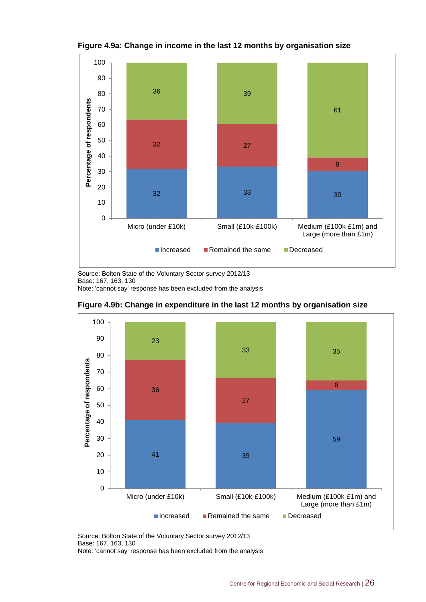

**Figure 4.9a: Change in income in the last 12 months by organisation size**

Source: Bolton State of the Voluntary Sector survey 2012/13 Base: 167, 163, 130 Note: 'cannot say' response has been excluded from the analysis



**Figure 4.9b: Change in expenditure in the last 12 months by organisation size**

Source: Bolton State of the Voluntary Sector survey 2012/13 Base: 167, 163, 130

Note: 'cannot say' response has been excluded from the analysis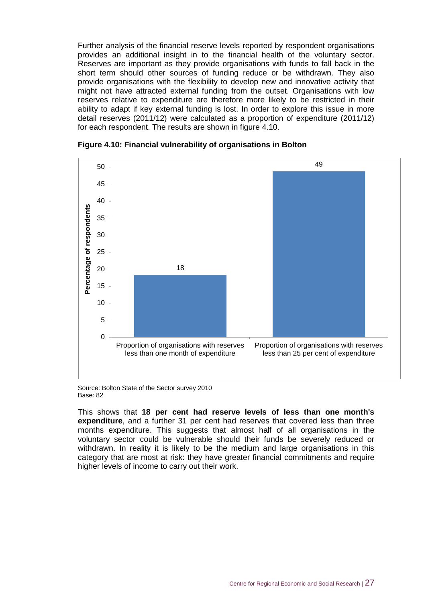Further analysis of the financial reserve levels reported by respondent organisations provides an additional insight in to the financial health of the voluntary sector. Reserves are important as they provide organisations with funds to fall back in the short term should other sources of funding reduce or be withdrawn. They also provide organisations with the flexibility to develop new and innovative activity that might not have attracted external funding from the outset. Organisations with low reserves relative to expenditure are therefore more likely to be restricted in their ability to adapt if key external funding is lost. In order to explore this issue in more detail reserves (2011/12) were calculated as a proportion of expenditure (2011/12) for each respondent. The results are shown in figure 4.10.



#### **Figure 4.10: Financial vulnerability of organisations in Bolton**

Source: Bolton State of the Sector survey 2010 Base: 82

This shows that **18 per cent had reserve levels of less than one month's expenditure**, and a further 31 per cent had reserves that covered less than three months expenditure. This suggests that almost half of all organisations in the voluntary sector could be vulnerable should their funds be severely reduced or withdrawn. In reality it is likely to be the medium and large organisations in this category that are most at risk: they have greater financial commitments and require higher levels of income to carry out their work.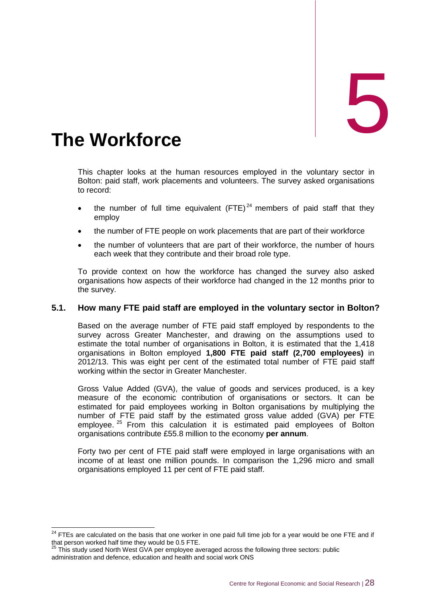<span id="page-38-0"></span>

This chapter looks at the human resources employed in the voluntary sector in Bolton: paid staff, work placements and volunteers. The survey asked organisations to record:

- the number of full time equivalent  $(FTE)^{24}$  members of paid staff that they employ
- the number of FTE people on work placements that are part of their workforce
- the number of volunteers that are part of their workforce, the number of hours each week that they contribute and their broad role type.

To provide context on how the workforce has changed the survey also asked organisations how aspects of their workforce had changed in the 12 months prior to the survey.

#### **5.1. How many FTE paid staff are employed in the voluntary sector in Bolton?**

Based on the average number of FTE paid staff employed by respondents to the survey across Greater Manchester, and drawing on the assumptions used to estimate the total number of organisations in Bolton, it is estimated that the 1,418 organisations in Bolton employed **1,800 FTE paid staff (2,700 employees)** in 2012/13. This was eight per cent of the estimated total number of FTE paid staff working within the sector in Greater Manchester.

Gross Value Added (GVA), the value of goods and services produced, is a key measure of the economic contribution of organisations or sectors. It can be estimated for paid employees working in Bolton organisations by multiplying the number of FTE paid staff by the estimated gross value added (GVA) per FTE employee.<sup>25</sup> From this calculation it is estimated paid employees of Bolton organisations contribute £55.8 million to the economy **per annum**.

Forty two per cent of FTE paid staff were employed in large organisations with an income of at least one million pounds. In comparison the 1,296 micro and small organisations employed 11 per cent of FTE paid staff.

 $\overline{a}$  $24$  FTEs are calculated on the basis that one worker in one paid full time job for a year would be one FTE and if that person worked half time they would be 0.5 FTE.

 $25$  This study used North West GVA per employee averaged across the following three sectors: public administration and defence, education and health and social work ONS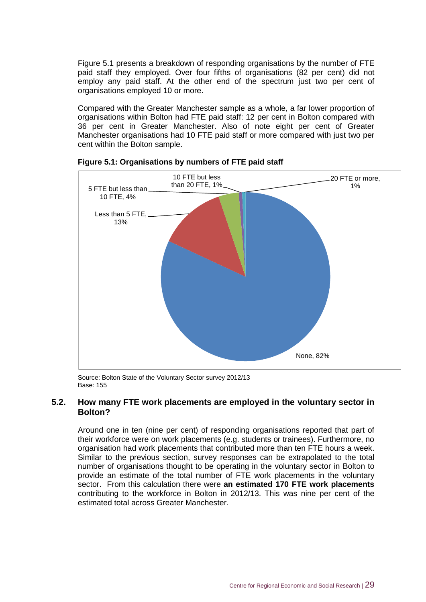Figure 5.1 presents a breakdown of responding organisations by the number of FTE paid staff they employed. Over four fifths of organisations (82 per cent) did not employ any paid staff. At the other end of the spectrum just two per cent of organisations employed 10 or more.

Compared with the Greater Manchester sample as a whole, a far lower proportion of organisations within Bolton had FTE paid staff: 12 per cent in Bolton compared with 36 per cent in Greater Manchester. Also of note eight per cent of Greater Manchester organisations had 10 FTE paid staff or more compared with just two per cent within the Bolton sample.





Source: Bolton State of the Voluntary Sector survey 2012/13 Base: 155

#### **5.2. How many FTE work placements are employed in the voluntary sector in Bolton?**

Around one in ten (nine per cent) of responding organisations reported that part of their workforce were on work placements (e.g. students or trainees). Furthermore, no organisation had work placements that contributed more than ten FTE hours a week. Similar to the previous section, survey responses can be extrapolated to the total number of organisations thought to be operating in the voluntary sector in Bolton to provide an estimate of the total number of FTE work placements in the voluntary sector. From this calculation there were **an estimated 170 FTE work placements** contributing to the workforce in Bolton in 2012/13. This was nine per cent of the estimated total across Greater Manchester.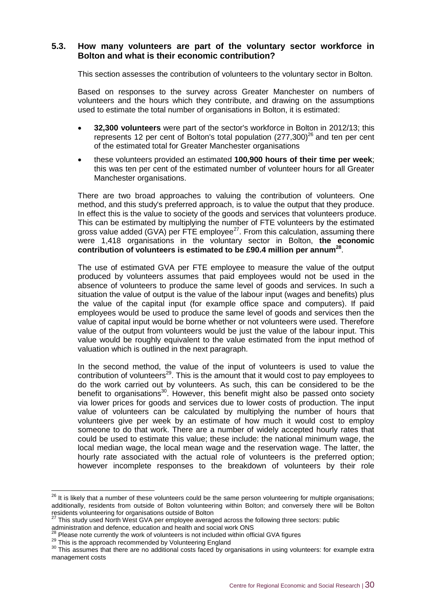#### **5.3. How many volunteers are part of the voluntary sector workforce in Bolton and what is their economic contribution?**

This section assesses the contribution of volunteers to the voluntary sector in Bolton.

Based on responses to the survey across Greater Manchester on numbers of volunteers and the hours which they contribute, and drawing on the assumptions used to estimate the total number of organisations in Bolton, it is estimated:

- **32,300 volunteers** were part of the sector's workforce in Bolton in 2012/13; this represents 12 per cent of Bolton's total population  $(277,300)^{26}$  and ten per cent of the estimated total for Greater Manchester organisations
- these volunteers provided an estimated **100,900 hours of their time per week**; this was ten per cent of the estimated number of volunteer hours for all Greater Manchester organisations.

There are two broad approaches to valuing the contribution of volunteers. One method, and this study's preferred approach, is to value the output that they produce. In effect this is the value to society of the goods and services that volunteers produce. This can be estimated by multiplying the number of FTE volunteers by the estimated gross value added (GVA) per FTE employee<sup>27</sup>. From this calculation, assuming there were 1,418 organisations in the voluntary sector in Bolton, **the economic contribution of volunteers is estimated to be £90.4 million per annum<sup>28</sup>** .

The use of estimated GVA per FTE employee to measure the value of the output produced by volunteers assumes that paid employees would not be used in the absence of volunteers to produce the same level of goods and services. In such a situation the value of output is the value of the labour input (wages and benefits) plus the value of the capital input (for example office space and computers). If paid employees would be used to produce the same level of goods and services then the value of capital input would be borne whether or not volunteers were used. Therefore value of the output from volunteers would be just the value of the labour input. This value would be roughly equivalent to the value estimated from the input method of valuation which is outlined in the next paragraph.

In the second method, the value of the input of volunteers is used to value the contribution of volunteers<sup>29</sup>. This is the amount that it would cost to pay employees to do the work carried out by volunteers. As such, this can be considered to be the benefit to organisations<sup>30</sup>. However, this benefit might also be passed onto society via lower prices for goods and services due to lower costs of production. The input value of volunteers can be calculated by multiplying the number of hours that volunteers give per week by an estimate of how much it would cost to employ someone to do that work. There are a number of widely accepted hourly rates that could be used to estimate this value; these include: the national minimum wage, the local median wage, the local mean wage and the reservation wage. The latter, the hourly rate associated with the actual role of volunteers is the preferred option; however incomplete responses to the breakdown of volunteers by their role

 $\overline{a}$ 

 $^{26}$  It is likely that a number of these volunteers could be the same person volunteering for multiple organisations; additionally, residents from outside of Bolton volunteering within Bolton; and conversely there will be Bolton residents volunteering for organisations outside of Bolton

 $27$  This study used North West GVA per employee averaged across the following three sectors: public

administration and defence, education and health and social work ONS

 $\beta$  Please note currently the work of volunteers is not included within official GVA figures

<sup>&</sup>lt;sup>29</sup> This is the approach recommended by Volunteering England

<sup>&</sup>lt;sup>30</sup> This assumes that there are no additional costs faced by organisations in using volunteers: for example extra management costs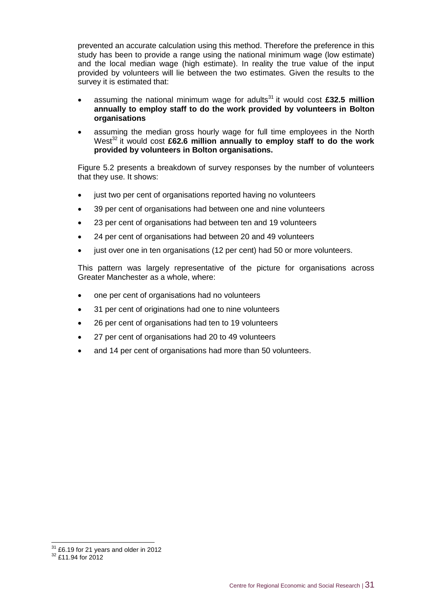prevented an accurate calculation using this method. Therefore the preference in this study has been to provide a range using the national minimum wage (low estimate) and the local median wage (high estimate). In reality the true value of the input provided by volunteers will lie between the two estimates. Given the results to the survey it is estimated that:

- assuming the national minimum wage for adults<sup>31</sup> it would cost £32.5 million **annually to employ staff to do the work provided by volunteers in Bolton organisations**
- assuming the median gross hourly wage for full time employees in the North West<sup>32</sup> it would cost £62.6 million annually to employ staff to do the work **provided by volunteers in Bolton organisations.**

Figure 5.2 presents a breakdown of survey responses by the number of volunteers that they use. It shows:

- just two per cent of organisations reported having no volunteers
- 39 per cent of organisations had between one and nine volunteers
- 23 per cent of organisations had between ten and 19 volunteers
- 24 per cent of organisations had between 20 and 49 volunteers
- just over one in ten organisations (12 per cent) had 50 or more volunteers.

This pattern was largely representative of the picture for organisations across Greater Manchester as a whole, where:

- one per cent of organisations had no volunteers
- 31 per cent of originations had one to nine volunteers
- 26 per cent of organisations had ten to 19 volunteers
- 27 per cent of organisations had 20 to 49 volunteers
- and 14 per cent of organisations had more than 50 volunteers.

-

 $31$  £6.19 for 21 years and older in 2012

<sup>&</sup>lt;sup>32</sup> £11.94 for 2012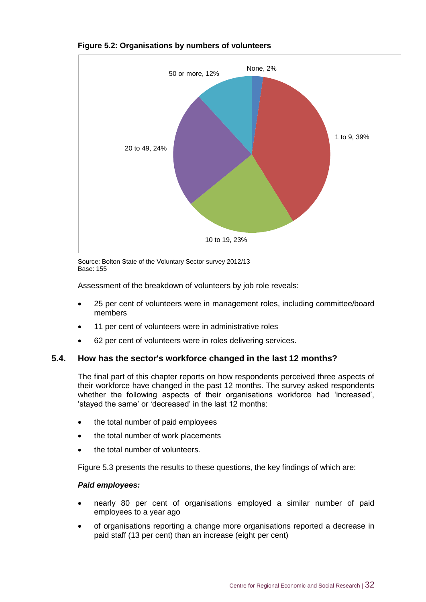

#### **Figure 5.2: Organisations by numbers of volunteers**

Source: Bolton State of the Voluntary Sector survey 2012/13 Base: 155

Assessment of the breakdown of volunteers by job role reveals:

- 25 per cent of volunteers were in management roles, including committee/board members
- 11 per cent of volunteers were in administrative roles
- 62 per cent of volunteers were in roles delivering services.

#### **5.4. How has the sector's workforce changed in the last 12 months?**

The final part of this chapter reports on how respondents perceived three aspects of their workforce have changed in the past 12 months. The survey asked respondents whether the following aspects of their organisations workforce had 'increased', 'stayed the same' or 'decreased' in the last 12 months:

- the total number of paid employees
- the total number of work placements
- the total number of volunteers.

Figure 5.3 presents the results to these questions, the key findings of which are:

#### *Paid employees:*

- nearly 80 per cent of organisations employed a similar number of paid employees to a year ago
- of organisations reporting a change more organisations reported a decrease in paid staff (13 per cent) than an increase (eight per cent)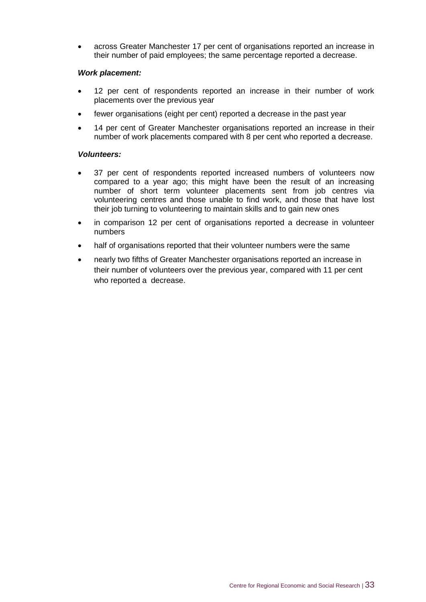across Greater Manchester 17 per cent of organisations reported an increase in their number of paid employees; the same percentage reported a decrease.

#### *Work placement:*

- 12 per cent of respondents reported an increase in their number of work placements over the previous year
- fewer organisations (eight per cent) reported a decrease in the past year
- 14 per cent of Greater Manchester organisations reported an increase in their number of work placements compared with 8 per cent who reported a decrease.

#### *Volunteers:*

- 37 per cent of respondents reported increased numbers of volunteers now compared to a year ago; this might have been the result of an increasing number of short term volunteer placements sent from job centres via volunteering centres and those unable to find work, and those that have lost their job turning to volunteering to maintain skills and to gain new ones
- in comparison 12 per cent of organisations reported a decrease in volunteer numbers
- half of organisations reported that their volunteer numbers were the same
- nearly two fifths of Greater Manchester organisations reported an increase in their number of volunteers over the previous year, compared with 11 per cent who reported a decrease.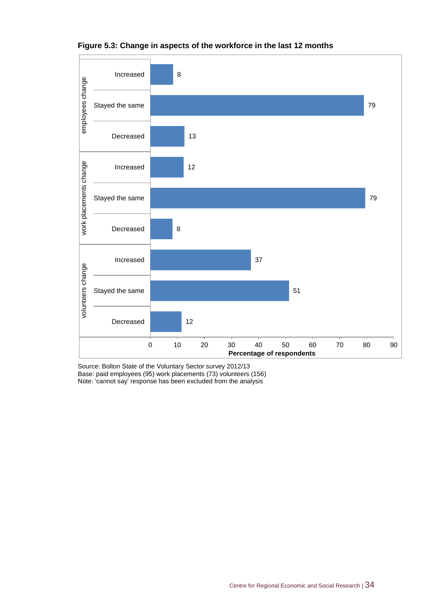

#### **Figure 5.3: Change in aspects of the workforce in the last 12 months**

Source: Bolton State of the Voluntary Sector survey 2012/13 Base: paid employees (95) work placements (73) volunteers (156) Note: 'cannot say' response has been excluded from the analysis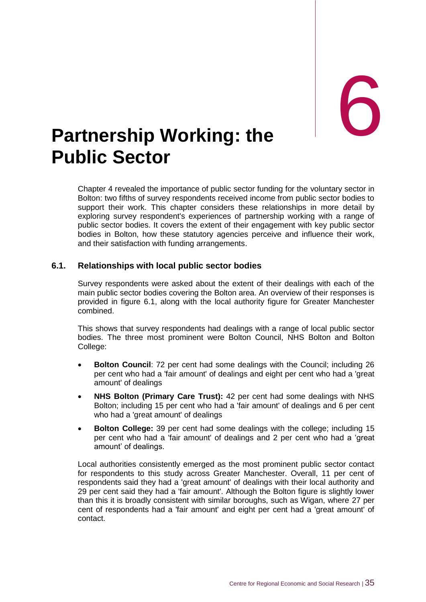# <span id="page-45-0"></span>**Partnership Working: the Public Sector**

Chapter 4 revealed the importance of public sector funding for the voluntary sector in Bolton: two fifths of survey respondents received income from public sector bodies to support their work. This chapter considers these relationships in more detail by exploring survey respondent's experiences of partnership working with a range of public sector bodies. It covers the extent of their engagement with key public sector bodies in Bolton, how these statutory agencies perceive and influence their work, and their satisfaction with funding arrangements.

#### **6.1. Relationships with local public sector bodies**

Survey respondents were asked about the extent of their dealings with each of the main public sector bodies covering the Bolton area. An overview of their responses is provided in figure 6.1, along with the local authority figure for Greater Manchester combined.

This shows that survey respondents had dealings with a range of local public sector bodies. The three most prominent were Bolton Council, NHS Bolton and Bolton College:

- **Bolton Council**: 72 per cent had some dealings with the Council; including 26 per cent who had a 'fair amount' of dealings and eight per cent who had a 'great amount' of dealings
- **NHS Bolton (Primary Care Trust):** 42 per cent had some dealings with NHS Bolton; including 15 per cent who had a 'fair amount' of dealings and 6 per cent who had a 'great amount' of dealings
- **Bolton College:** 39 per cent had some dealings with the college; including 15 per cent who had a 'fair amount' of dealings and 2 per cent who had a 'great amount' of dealings.

Local authorities consistently emerged as the most prominent public sector contact for respondents to this study across Greater Manchester. Overall, 11 per cent of respondents said they had a 'great amount' of dealings with their local authority and 29 per cent said they had a 'fair amount'. Although the Bolton figure is slightly lower than this it is broadly consistent with similar boroughs, such as Wigan, where 27 per cent of respondents had a 'fair amount' and eight per cent had a 'great amount' of contact.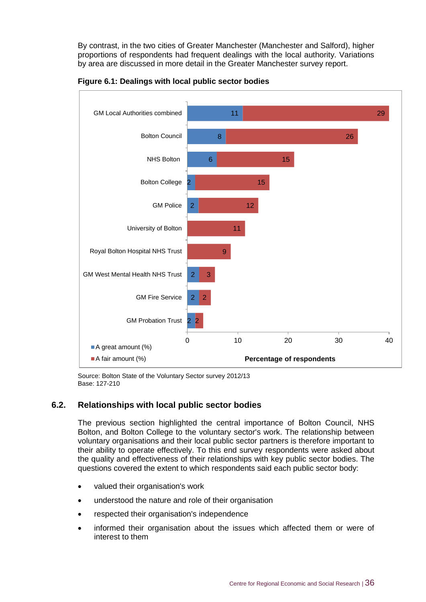By contrast, in the two cities of Greater Manchester (Manchester and Salford), higher proportions of respondents had frequent dealings with the local authority. Variations by area are discussed in more detail in the Greater Manchester survey report.





Source: Bolton State of the Voluntary Sector survey 2012/13 Base: 127-210

#### **6.2. Relationships with local public sector bodies**

The previous section highlighted the central importance of Bolton Council, NHS Bolton, and Bolton College to the voluntary sector's work. The relationship between voluntary organisations and their local public sector partners is therefore important to their ability to operate effectively. To this end survey respondents were asked about the quality and effectiveness of their relationships with key public sector bodies. The questions covered the extent to which respondents said each public sector body:

- valued their organisation's work
- understood the nature and role of their organisation
- respected their organisation's independence
- informed their organisation about the issues which affected them or were of interest to them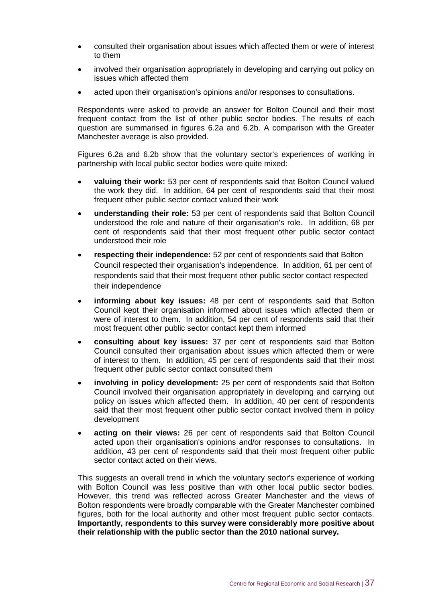- consulted their organisation about issues which affected them or were of interest to them
- involved their organisation appropriately in developing and carrying out policy on issues which affected them
- acted upon their organisation's opinions and/or responses to consultations.

Respondents were asked to provide an answer for Bolton Council and their most frequent contact from the list of other public sector bodies. The results of each question are summarised in figures 6.2a and 6.2b. A comparison with the Greater Manchester average is also provided.

Figures 6.2a and 6.2b show that the voluntary sector's experiences of working in partnership with local public sector bodies were quite mixed:

- **valuing their work:** 53 per cent of respondents said that Bolton Council valued the work they did. In addition, 64 per cent of respondents said that their most frequent other public sector contact valued their work
- **understanding their role:** 53 per cent of respondents said that Bolton Council understood the role and nature of their organisation's role. In addition, 68 per cent of respondents said that their most frequent other public sector contact understood their role
- **respecting their independence:** 52 per cent of respondents said that Bolton Council respected their organisation's independence. In addition, 61 per cent of respondents said that their most frequent other public sector contact respected their independence
- **informing about key issues:** 48 per cent of respondents said that Bolton Council kept their organisation informed about issues which affected them or were of interest to them. In addition, 54 per cent of respondents said that their most frequent other public sector contact kept them informed
- **consulting about key issues:** 37 per cent of respondents said that Bolton Council consulted their organisation about issues which affected them or were of interest to them. In addition, 45 per cent of respondents said that their most frequent other public sector contact consulted them
- **involving in policy development:** 25 per cent of respondents said that Bolton Council involved their organisation appropriately in developing and carrying out policy on issues which affected them. In addition, 40 per cent of respondents said that their most frequent other public sector contact involved them in policy development
- **acting on their views:** 26 per cent of respondents said that Bolton Council acted upon their organisation's opinions and/or responses to consultations. In addition, 43 per cent of respondents said that their most frequent other public sector contact acted on their views.

This suggests an overall trend in which the voluntary sector's experience of working with Bolton Council was less positive than with other local public sector bodies. However, this trend was reflected across Greater Manchester and the views of Bolton respondents were broadly comparable with the Greater Manchester combined figures, both for the local authority and other most frequent public sector contacts. **Importantly, respondents to this survey were considerably more positive about their relationship with the public sector than the 2010 national survey.**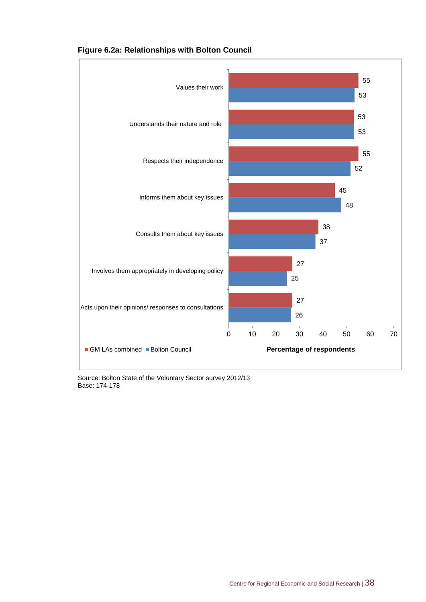

#### **Figure 6.2a: Relationships with Bolton Council**

Source: Bolton State of the Voluntary Sector survey 2012/13 Base: 174-178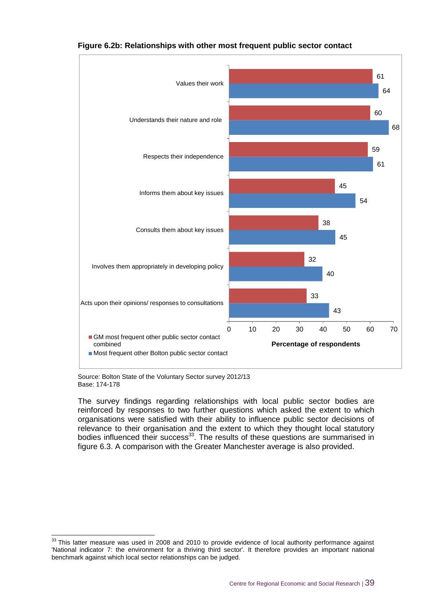

#### **Figure 6.2b: Relationships with other most frequent public sector contact**

Source: Bolton State of the Voluntary Sector survey 2012/13 Base: 174-178

-

The survey findings regarding relationships with local public sector bodies are reinforced by responses to two further questions which asked the extent to which organisations were satisfied with their ability to influence public sector decisions of relevance to their organisation and the extent to which they thought local statutory bodies influenced their success<sup>33</sup>. The results of these questions are summarised in figure 6.3. A comparison with the Greater Manchester average is also provided.

 $33$  This latter measure was used in 2008 and 2010 to provide evidence of local authority performance against 'National indicator 7: the environment for a thriving third sector'. It therefore provides an important national benchmark against which local sector relationships can be judged.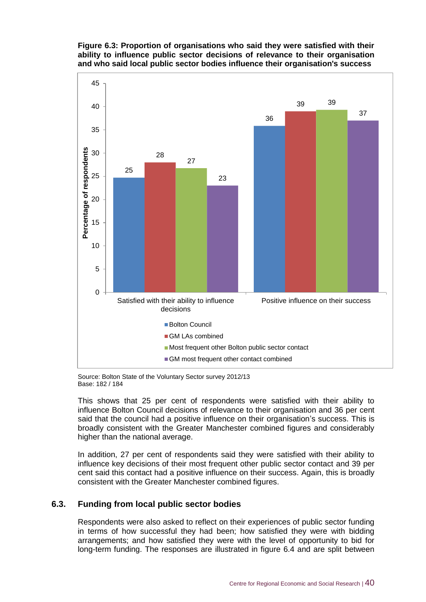



Source: Bolton State of the Voluntary Sector survey 2012/13 Base: 182 / 184

This shows that 25 per cent of respondents were satisfied with their ability to influence Bolton Council decisions of relevance to their organisation and 36 per cent said that the council had a positive influence on their organisation's success. This is broadly consistent with the Greater Manchester combined figures and considerably higher than the national average.

In addition, 27 per cent of respondents said they were satisfied with their ability to influence key decisions of their most frequent other public sector contact and 39 per cent said this contact had a positive influence on their success. Again, this is broadly consistent with the Greater Manchester combined figures.

#### **6.3. Funding from local public sector bodies**

Respondents were also asked to reflect on their experiences of public sector funding in terms of how successful they had been; how satisfied they were with bidding arrangements; and how satisfied they were with the level of opportunity to bid for long-term funding. The responses are illustrated in figure 6.4 and are split between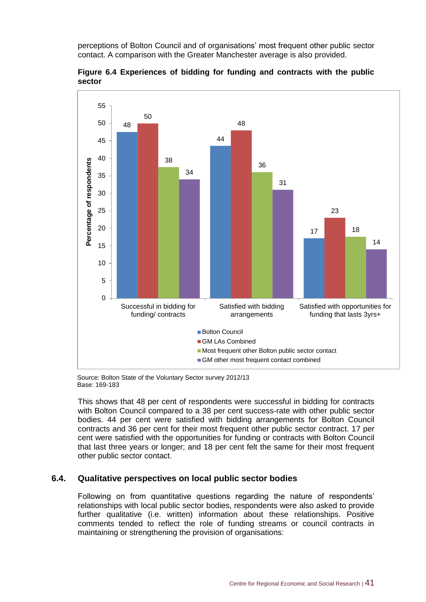perceptions of Bolton Council and of organisations' most frequent other public sector contact. A comparison with the Greater Manchester average is also provided.



**Figure 6.4 Experiences of bidding for funding and contracts with the public sector**

Source: Bolton State of the Voluntary Sector survey 2012/13 Base: 169-183

This shows that 48 per cent of respondents were successful in bidding for contracts with Bolton Council compared to a 38 per cent success-rate with other public sector bodies. 44 per cent were satisfied with bidding arrangements for Bolton Council contracts and 36 per cent for their most frequent other public sector contract. 17 per cent were satisfied with the opportunities for funding or contracts with Bolton Council that last three years or longer; and 18 per cent felt the same for their most frequent other public sector contact.

#### **6.4. Qualitative perspectives on local public sector bodies**

Following on from quantitative questions regarding the nature of respondents' relationships with local public sector bodies, respondents were also asked to provide further qualitative (i.e. written) information about these relationships. Positive comments tended to reflect the role of funding streams or council contracts in maintaining or strengthening the provision of organisations: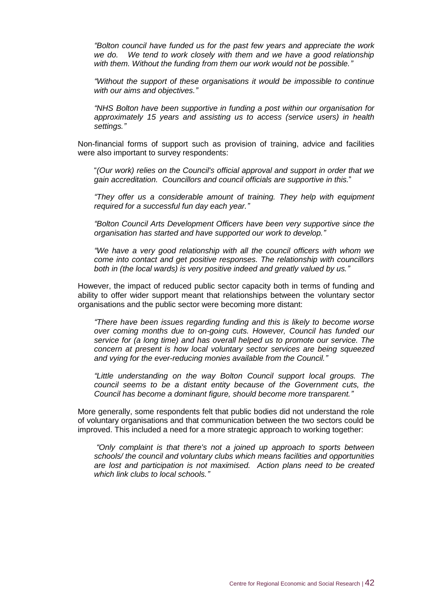*"Bolton council have funded us for the past few years and appreciate the work we do. We tend to work closely with them and we have a good relationship with them. Without the funding from them our work would not be possible."*

*"Without the support of these organisations it would be impossible to continue with our aims and objectives."*

*"NHS Bolton have been supportive in funding a post within our organisation for approximately 15 years and assisting us to access (service users) in health settings."*

Non-financial forms of support such as provision of training, advice and facilities were also important to survey respondents:

"*(Our work) relies on the Council's official approval and support in order that we gain accreditation. Councillors and council officials are supportive in this.*"

*"They offer us a considerable amount of training. They help with equipment required for a successful fun day each year."*

*"Bolton Council Arts Development Officers have been very supportive since the organisation has started and have supported our work to develop."*

*"We have a very good relationship with all the council officers with whom we come into contact and get positive responses. The relationship with councillors both in (the local wards) is very positive indeed and greatly valued by us."*

However, the impact of reduced public sector capacity both in terms of funding and ability to offer wider support meant that relationships between the voluntary sector organisations and the public sector were becoming more distant:

*"There have been issues regarding funding and this is likely to become worse over coming months due to on-going cuts. However, Council has funded our service for (a long time) and has overall helped us to promote our service. The concern at present is how local voluntary sector services are being squeezed and vying for the ever-reducing monies available from the Council."*

*"Little understanding on the way Bolton Council support local groups. The council seems to be a distant entity because of the Government cuts, the Council has become a dominant figure, should become more transparent."*

More generally, some respondents felt that public bodies did not understand the role of voluntary organisations and that communication between the two sectors could be improved. This included a need for a more strategic approach to working together:

*"Only complaint is that there's not a joined up approach to sports between schools/ the council and voluntary clubs which means facilities and opportunities are lost and participation is not maximised. Action plans need to be created which link clubs to local schools."*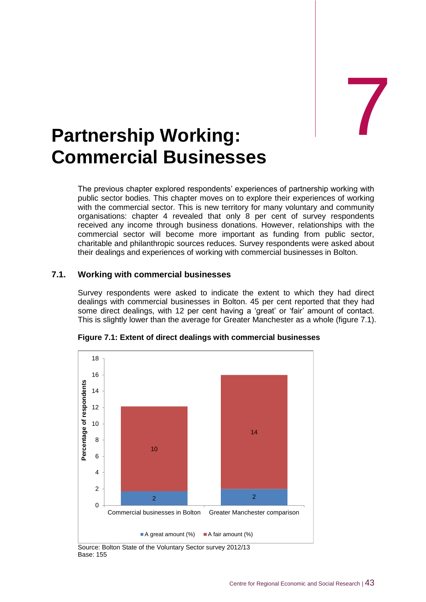# <span id="page-53-0"></span>Partnership Working: **Commercial Businesses**

The previous chapter explored respondents' experiences of partnership working with public sector bodies. This chapter moves on to explore their experiences of working with the commercial sector. This is new territory for many voluntary and community organisations: chapter 4 revealed that only 8 per cent of survey respondents received any income through business donations. However, relationships with the commercial sector will become more important as funding from public sector, charitable and philanthropic sources reduces. Survey respondents were asked about their dealings and experiences of working with commercial businesses in Bolton.

#### **7.1. Working with commercial businesses**

Survey respondents were asked to indicate the extent to which they had direct dealings with commercial businesses in Bolton. 45 per cent reported that they had some direct dealings, with 12 per cent having a 'great' or 'fair' amount of contact. This is slightly lower than the average for Greater Manchester as a whole (figure 7.1).



**Figure 7.1: Extent of direct dealings with commercial businesses**

Source: Bolton State of the Voluntary Sector survey 2012/13 Base: 155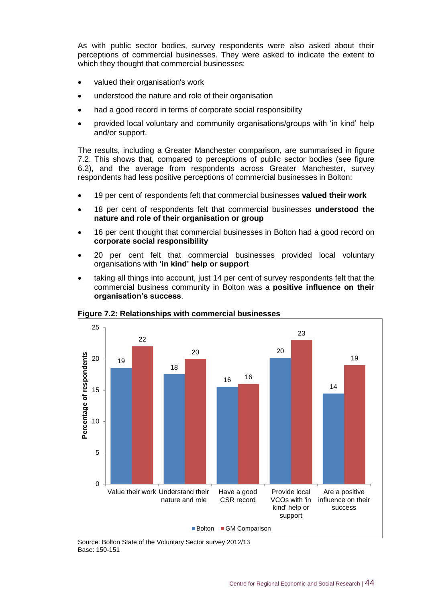As with public sector bodies, survey respondents were also asked about their perceptions of commercial businesses. They were asked to indicate the extent to which they thought that commercial businesses:

- valued their organisation's work
- understood the nature and role of their organisation
- had a good record in terms of corporate social responsibility
- provided local voluntary and community organisations/groups with 'in kind' help and/or support.

The results, including a Greater Manchester comparison, are summarised in figure 7.2. This shows that, compared to perceptions of public sector bodies (see figure 6.2), and the average from respondents across Greater Manchester, survey respondents had less positive perceptions of commercial businesses in Bolton:

- 19 per cent of respondents felt that commercial businesses **valued their work**
- 18 per cent of respondents felt that commercial businesses **understood the nature and role of their organisation or group**
- 16 per cent thought that commercial businesses in Bolton had a good record on **corporate social responsibility**
- 20 per cent felt that commercial businesses provided local voluntary organisations with **'in kind' help or support**
- taking all things into account, just 14 per cent of survey respondents felt that the commercial business community in Bolton was a **positive influence on their organisation's success**.



**Figure 7.2: Relationships with commercial businesses**

Source: Bolton State of the Voluntary Sector survey 2012/13 Base: 150-151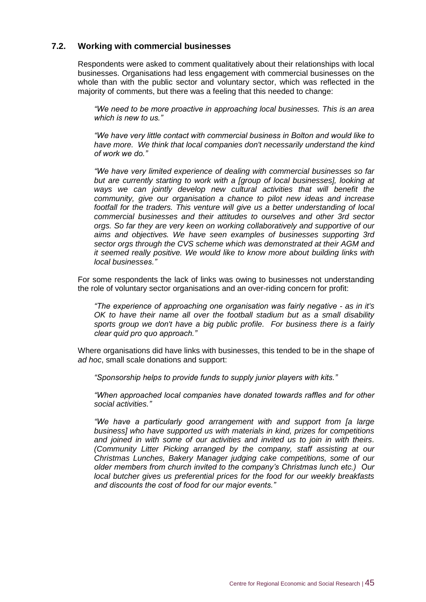#### **7.2. Working with commercial businesses**

Respondents were asked to comment qualitatively about their relationships with local businesses. Organisations had less engagement with commercial businesses on the whole than with the public sector and voluntary sector, which was reflected in the majority of comments, but there was a feeling that this needed to change:

*"We need to be more proactive in approaching local businesses. This is an area which is new to us."*

*"We have very little contact with commercial business in Bolton and would like to have more. We think that local companies don't necessarily understand the kind of work we do."*

*"We have very limited experience of dealing with commercial businesses so far but are currently starting to work with a [group of local businesses], looking at ways we can jointly develop new cultural activities that will benefit the community, give our organisation a chance to pilot new ideas and increase footfall for the traders. This venture will give us a better understanding of local commercial businesses and their attitudes to ourselves and other 3rd sector orgs. So far they are very keen on working collaboratively and supportive of our aims and objectives. We have seen examples of businesses supporting 3rd sector orgs through the CVS scheme which was demonstrated at their AGM and it seemed really positive. We would like to know more about building links with local businesses."*

For some respondents the lack of links was owing to businesses not understanding the role of voluntary sector organisations and an over-riding concern for profit:

*"The experience of approaching one organisation was fairly negative - as in it's OK to have their name all over the football stadium but as a small disability sports group we don't have a big public profile. For business there is a fairly clear quid pro quo approach."*

Where organisations did have links with businesses, this tended to be in the shape of *ad hoc*, small scale donations and support:

*"Sponsorship helps to provide funds to supply junior players with kits."*

*"When approached local companies have donated towards raffles and for other social activities."*

*"We have a particularly good arrangement with and support from [a large business] who have supported us with materials in kind, prizes for competitions and joined in with some of our activities and invited us to join in with theirs. (Community Litter Picking arranged by the company, staff assisting at our Christmas Lunches, Bakery Manager judging cake competitions, some of our older members from church invited to the company's Christmas lunch etc.) Our local butcher gives us preferential prices for the food for our weekly breakfasts and discounts the cost of food for our major events."*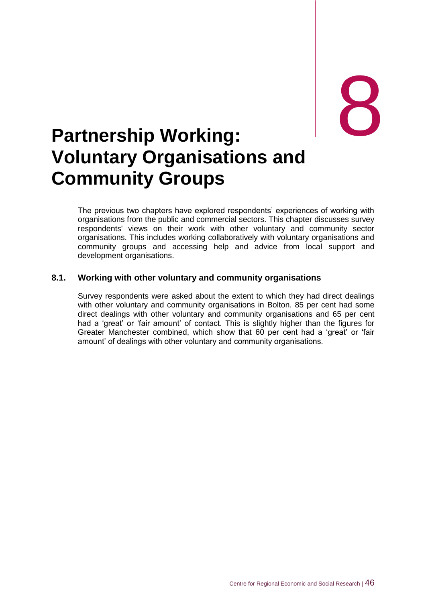# <span id="page-56-0"></span>external partnership Working: **Voluntary Organisations and Community Groups**

The previous two chapters have explored respondents' experiences of working with organisations from the public and commercial sectors. This chapter discusses survey respondents' views on their work with other voluntary and community sector organisations. This includes working collaboratively with voluntary organisations and community groups and accessing help and advice from local support and development organisations.

#### **8.1. Working with other voluntary and community organisations**

Survey respondents were asked about the extent to which they had direct dealings with other voluntary and community organisations in Bolton. 85 per cent had some direct dealings with other voluntary and community organisations and 65 per cent had a 'great' or 'fair amount' of contact. This is slightly higher than the figures for Greater Manchester combined, which show that 60 per cent had a 'great' or 'fair amount' of dealings with other voluntary and community organisations.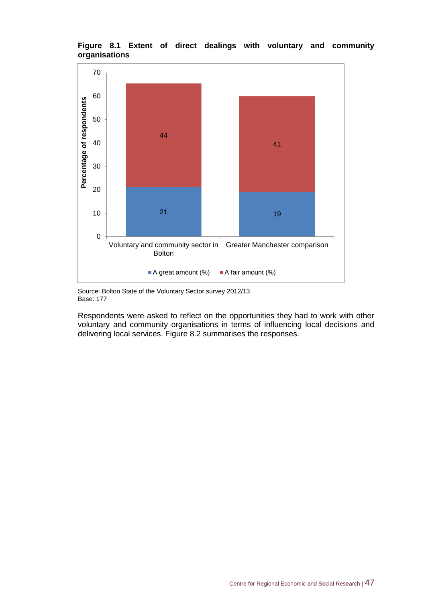

#### **Figure 8.1 Extent of direct dealings with voluntary and community organisations**

Source: Bolton State of the Voluntary Sector survey 2012/13 Base: 177

Respondents were asked to reflect on the opportunities they had to work with other voluntary and community organisations in terms of influencing local decisions and delivering local services. Figure 8.2 summarises the responses.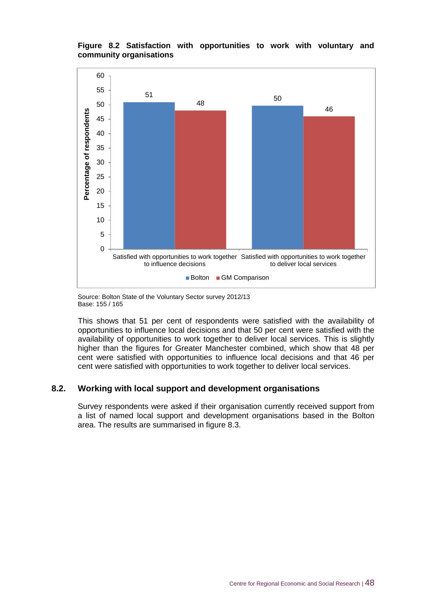#### **Figure 8.2 Satisfaction with opportunities to work with voluntary and community organisations**



Source: Bolton State of the Voluntary Sector survey 2012/13 Base: 155 / 165

This shows that 51 per cent of respondents were satisfied with the availability of opportunities to influence local decisions and that 50 per cent were satisfied with the availability of opportunities to work together to deliver local services. This is slightly higher than the figures for Greater Manchester combined, which show that 48 per cent were satisfied with opportunities to influence local decisions and that 46 per cent were satisfied with opportunities to work together to deliver local services.

#### **8.2. Working with local support and development organisations**

Survey respondents were asked if their organisation currently received support from a list of named local support and development organisations based in the Bolton area. The results are summarised in figure 8.3.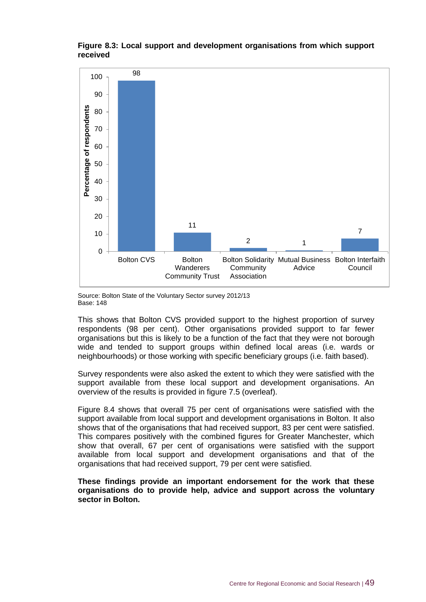

#### **Figure 8.3: Local support and development organisations from which support received**

Source: Bolton State of the Voluntary Sector survey 2012/13 Base: 148

This shows that Bolton CVS provided support to the highest proportion of survey respondents (98 per cent). Other organisations provided support to far fewer organisations but this is likely to be a function of the fact that they were not borough wide and tended to support groups within defined local areas (i.e. wards or neighbourhoods) or those working with specific beneficiary groups (i.e. faith based).

Survey respondents were also asked the extent to which they were satisfied with the support available from these local support and development organisations. An overview of the results is provided in figure 7.5 (overleaf).

Figure 8.4 shows that overall 75 per cent of organisations were satisfied with the support available from local support and development organisations in Bolton. It also shows that of the organisations that had received support, 83 per cent were satisfied. This compares positively with the combined figures for Greater Manchester, which show that overall, 67 per cent of organisations were satisfied with the support available from local support and development organisations and that of the organisations that had received support, 79 per cent were satisfied.

**These findings provide an important endorsement for the work that these organisations do to provide help, advice and support across the voluntary sector in Bolton.**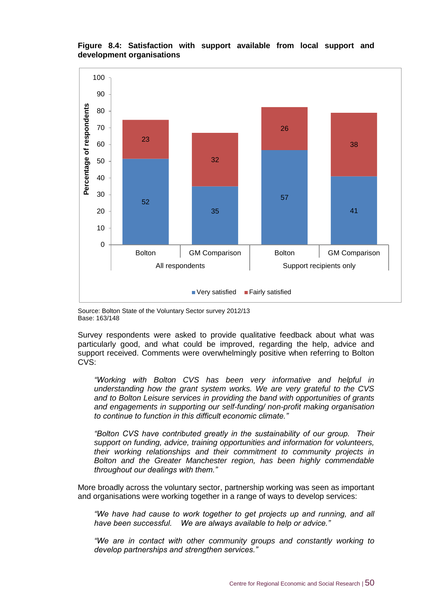#### **Figure 8.4: Satisfaction with support available from local support and development organisations**



Source: Bolton State of the Voluntary Sector survey 2012/13 Base: 163/148

Survey respondents were asked to provide qualitative feedback about what was particularly good, and what could be improved, regarding the help, advice and support received. Comments were overwhelmingly positive when referring to Bolton CVS:

*"Working with Bolton CVS has been very informative and helpful in understanding how the grant system works. We are very grateful to the CVS and to Bolton Leisure services in providing the band with opportunities of grants and engagements in supporting our self-funding/ non-profit making organisation to continue to function in this difficult economic climate."*

*"Bolton CVS have contributed greatly in the sustainability of our group. Their support on funding, advice, training opportunities and information for volunteers, their working relationships and their commitment to community projects in Bolton and the Greater Manchester region, has been highly commendable throughout our dealings with them."*

More broadly across the voluntary sector, partnership working was seen as important and organisations were working together in a range of ways to develop services:

*"We have had cause to work together to get projects up and running, and all have been successful. We are always available to help or advice."*

*"We are in contact with other community groups and constantly working to develop partnerships and strengthen services."*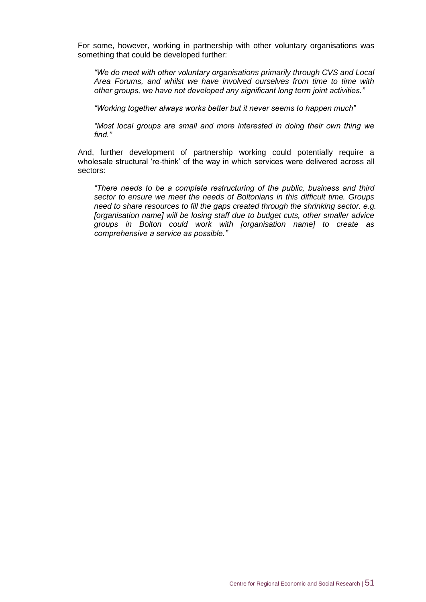For some, however, working in partnership with other voluntary organisations was something that could be developed further:

*"We do meet with other voluntary organisations primarily through CVS and Local Area Forums, and whilst we have involved ourselves from time to time with other groups, we have not developed any significant long term joint activities."*

*"Working together always works better but it never seems to happen much"*

*"Most local groups are small and more interested in doing their own thing we find."*

And, further development of partnership working could potentially require a wholesale structural 're-think' of the way in which services were delivered across all sectors:

*"There needs to be a complete restructuring of the public, business and third sector to ensure we meet the needs of Boltonians in this difficult time. Groups need to share resources to fill the gaps created through the shrinking sector. e.g. [organisation name] will be losing staff due to budget cuts, other smaller advice groups in Bolton could work with [organisation name] to create as comprehensive a service as possible."*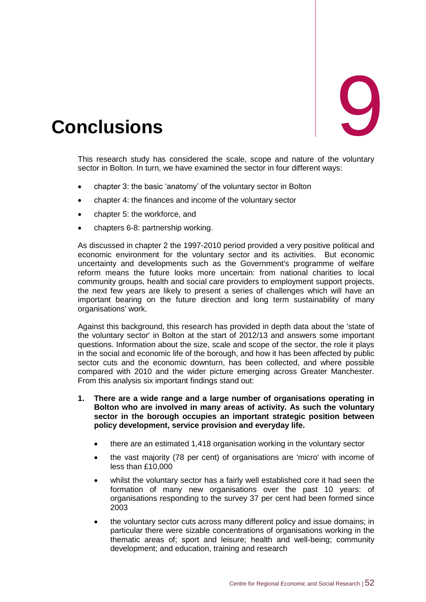<span id="page-62-0"></span>

This research study has considered the scale, scope and nature of the voluntary sector in Bolton. In turn, we have examined the sector in four different ways:

- chapter 3: the basic 'anatomy' of the voluntary sector in Bolton
- chapter 4: the finances and income of the voluntary sector
- chapter 5: the workforce, and
- chapters 6-8: partnership working.

As discussed in chapter 2 the 1997-2010 period provided a very positive political and economic environment for the voluntary sector and its activities. But economic uncertainty and developments such as the Government's programme of welfare reform means the future looks more uncertain: from national charities to local community groups, health and social care providers to employment support projects, the next few years are likely to present a series of challenges which will have an important bearing on the future direction and long term sustainability of many organisations' work.

Against this background, this research has provided in depth data about the 'state of the voluntary sector' in Bolton at the start of 2012/13 and answers some important questions. Information about the size, scale and scope of the sector, the role it plays in the social and economic life of the borough, and how it has been affected by public sector cuts and the economic downturn, has been collected, and where possible compared with 2010 and the wider picture emerging across Greater Manchester. From this analysis six important findings stand out:

- **1. There are a wide range and a large number of organisations operating in Bolton who are involved in many areas of activity. As such the voluntary sector in the borough occupies an important strategic position between policy development, service provision and everyday life.**
	- there are an estimated 1,418 organisation working in the voluntary sector
	- the vast majority (78 per cent) of organisations are 'micro' with income of less than £10,000
	- whilst the voluntary sector has a fairly well established core it had seen the formation of many new organisations over the past 10 years: of organisations responding to the survey 37 per cent had been formed since 2003
	- the voluntary sector cuts across many different policy and issue domains; in particular there were sizable concentrations of organisations working in the thematic areas of; sport and leisure; health and well-being; community development; and education, training and research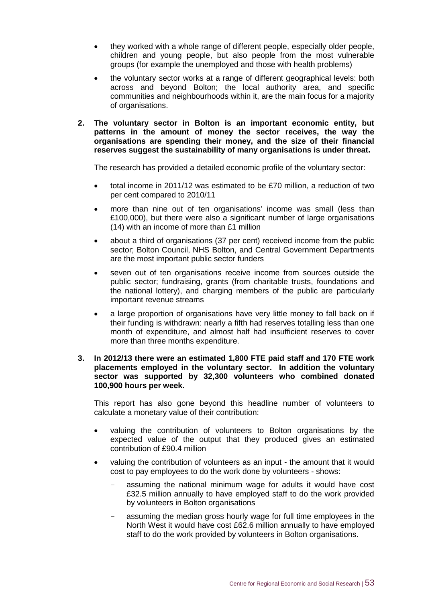- they worked with a whole range of different people, especially older people, children and young people, but also people from the most vulnerable groups (for example the unemployed and those with health problems)
- the voluntary sector works at a range of different geographical levels: both across and beyond Bolton; the local authority area, and specific communities and neighbourhoods within it, are the main focus for a majority of organisations.
- **2. The voluntary sector in Bolton is an important economic entity, but patterns in the amount of money the sector receives, the way the organisations are spending their money, and the size of their financial reserves suggest the sustainability of many organisations is under threat.**

The research has provided a detailed economic profile of the voluntary sector:

- total income in 2011/12 was estimated to be £70 million, a reduction of two per cent compared to 2010/11
- more than nine out of ten organisations' income was small (less than £100,000), but there were also a significant number of large organisations (14) with an income of more than £1 million
- about a third of organisations (37 per cent) received income from the public sector; Bolton Council, NHS Bolton, and Central Government Departments are the most important public sector funders
- seven out of ten organisations receive income from sources outside the public sector; fundraising, grants (from charitable trusts, foundations and the national lottery), and charging members of the public are particularly important revenue streams
- a large proportion of organisations have very little money to fall back on if their funding is withdrawn: nearly a fifth had reserves totalling less than one month of expenditure, and almost half had insufficient reserves to cover more than three months expenditure.

#### **3. In 2012/13 there were an estimated 1,800 FTE paid staff and 170 FTE work placements employed in the voluntary sector. In addition the voluntary sector was supported by 32,300 volunteers who combined donated 100,900 hours per week.**

This report has also gone beyond this headline number of volunteers to calculate a monetary value of their contribution:

- valuing the contribution of volunteers to Bolton organisations by the expected value of the output that they produced gives an estimated contribution of £90.4 million
- valuing the contribution of volunteers as an input the amount that it would cost to pay employees to do the work done by volunteers - shows:
	- assuming the national minimum wage for adults it would have cost £32.5 million annually to have employed staff to do the work provided by volunteers in Bolton organisations
	- assuming the median gross hourly wage for full time employees in the North West it would have cost £62.6 million annually to have employed staff to do the work provided by volunteers in Bolton organisations.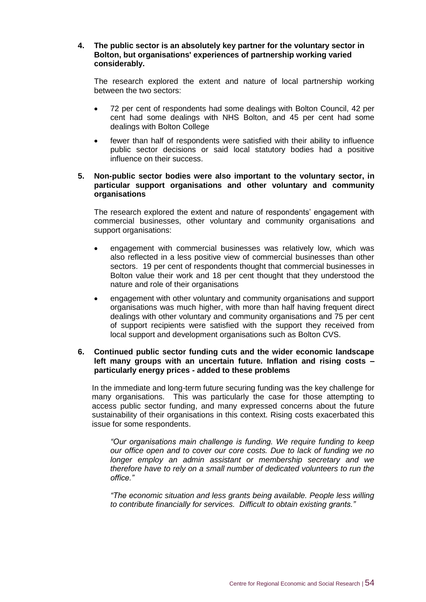#### **4. The public sector is an absolutely key partner for the voluntary sector in Bolton, but organisations' experiences of partnership working varied considerably.**

The research explored the extent and nature of local partnership working between the two sectors:

- 72 per cent of respondents had some dealings with Bolton Council, 42 per cent had some dealings with NHS Bolton, and 45 per cent had some dealings with Bolton College
- fewer than half of respondents were satisfied with their ability to influence public sector decisions or said local statutory bodies had a positive influence on their success.

#### **5. Non-public sector bodies were also important to the voluntary sector, in particular support organisations and other voluntary and community organisations**

The research explored the extent and nature of respondents' engagement with commercial businesses, other voluntary and community organisations and support organisations:

- engagement with commercial businesses was relatively low, which was also reflected in a less positive view of commercial businesses than other sectors. 19 per cent of respondents thought that commercial businesses in Bolton value their work and 18 per cent thought that they understood the nature and role of their organisations
- engagement with other voluntary and community organisations and support organisations was much higher, with more than half having frequent direct dealings with other voluntary and community organisations and 75 per cent of support recipients were satisfied with the support they received from local support and development organisations such as Bolton CVS.

#### **6. Continued public sector funding cuts and the wider economic landscape left many groups with an uncertain future. Inflation and rising costs – particularly energy prices - added to these problems**

In the immediate and long-term future securing funding was the key challenge for many organisations. This was particularly the case for those attempting to access public sector funding, and many expressed concerns about the future sustainability of their organisations in this context. Rising costs exacerbated this issue for some respondents.

*"Our organisations main challenge is funding. We require funding to keep our office open and to cover our core costs. Due to lack of funding we no longer employ an admin assistant or membership secretary and we therefore have to rely on a small number of dedicated volunteers to run the office."*

*"The economic situation and less grants being available. People less willing to contribute financially for services. Difficult to obtain existing grants."*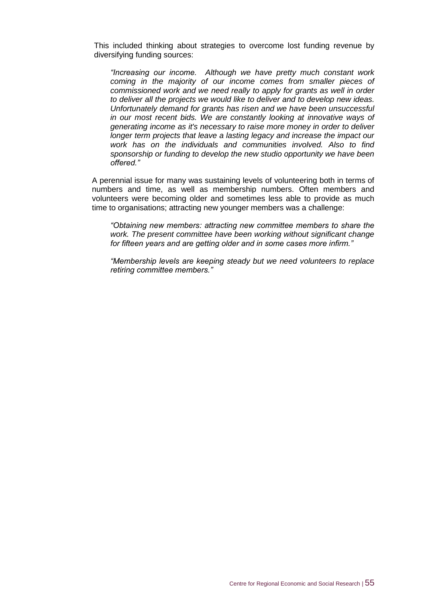This included thinking about strategies to overcome lost funding revenue by diversifying funding sources:

*"Increasing our income. Although we have pretty much constant work coming in the majority of our income comes from smaller pieces of commissioned work and we need really to apply for grants as well in order to deliver all the projects we would like to deliver and to develop new ideas. Unfortunately demand for grants has risen and we have been unsuccessful in our most recent bids. We are constantly looking at innovative ways of generating income as it's necessary to raise more money in order to deliver*  longer term projects that leave a lasting legacy and increase the impact our *work has on the individuals and communities involved. Also to find sponsorship or funding to develop the new studio opportunity we have been offered."* 

A perennial issue for many was sustaining levels of volunteering both in terms of numbers and time, as well as membership numbers. Often members and volunteers were becoming older and sometimes less able to provide as much time to organisations; attracting new younger members was a challenge:

*"Obtaining new members: attracting new committee members to share the work. The present committee have been working without significant change for fifteen years and are getting older and in some cases more infirm."*

*"Membership levels are keeping steady but we need volunteers to replace retiring committee members."*